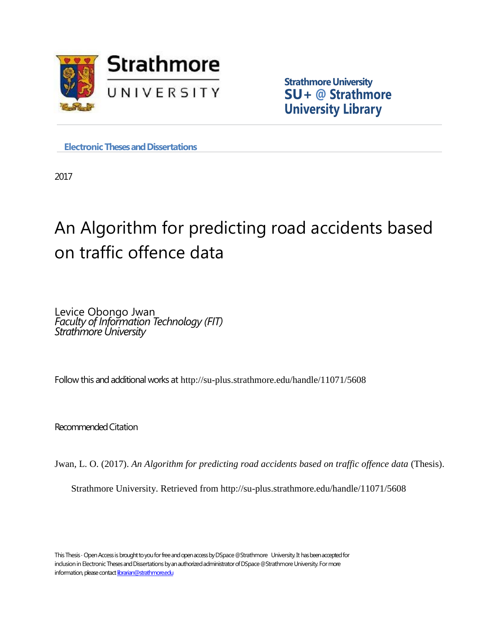

**Strathmore University SU+ @ Strathmore University Library**

**Electronic Theses and Dissertations** 

2017

# An Algorithm for predicting road accidents based on traffic offence data

Levice Obongo Jwan *Faculty of Information Technology (FIT) Strathmore University*

Follow this and additional works at http://su-plus.strathmore.edu/handle/11071/5608

Recommended Citation

Jwan, L. O. (2017). *An Algorithm for predicting road accidents based on traffic offence data* (Thesis).

Strathmore University. Retrieved from http://su-plus.strathmore.edu/handle/11071/5608

This Thesis - Open Access is brought to you for free and open access by DSpace @Strathmore University. It has been accepted for inclusion in Electronic Theses and Dissertations by an authorized administrator of DSpace @Strathmore University. For more information, please contact librarian@strathmore.edu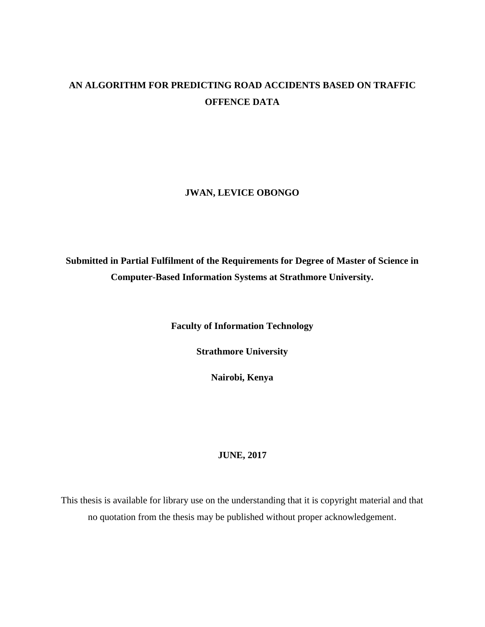# **AN ALGORITHM FOR PREDICTING ROAD ACCIDENTS BASED ON TRAFFIC OFFENCE DATA**

**JWAN, LEVICE OBONGO**

**Submitted in Partial Fulfilment of the Requirements for Degree of Master of Science in Computer-Based Information Systems at Strathmore University.**

**Faculty of Information Technology**

**Strathmore University**

**Nairobi, Kenya**

#### **JUNE, 2017**

This thesis is available for library use on the understanding that it is copyright material and that no quotation from the thesis may be published without proper acknowledgement.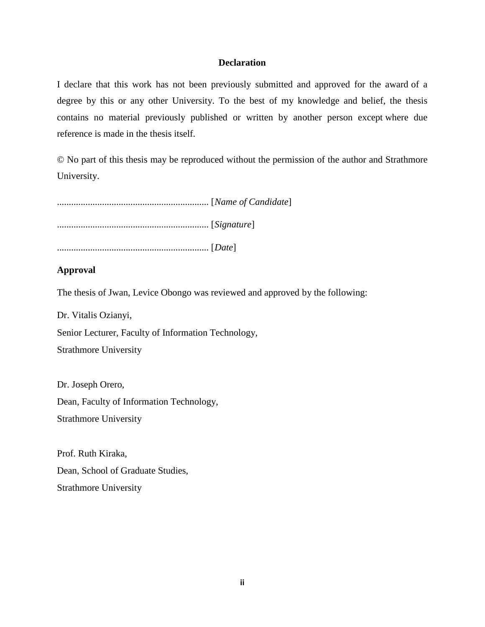# **Declaration**

I declare that this work has not been previously submitted and approved for the award of a degree by this or any other University. To the best of my knowledge and belief, the thesis contains no material previously published or written by another person except where due reference is made in the thesis itself.

© No part of this thesis may be reproduced without the permission of the author and Strathmore University.

................................................................ [*Name of Candidate*] ................................................................ [*Signature*] ................................................................ [*Date*]

# **Approval**

The thesis of Jwan, Levice Obongo was reviewed and approved by the following:

Dr. Vitalis Ozianyi,

Senior Lecturer, Faculty of Information Technology,

Strathmore University

Dr. Joseph Orero, Dean, Faculty of Information Technology, Strathmore University

Prof. Ruth Kiraka, Dean, School of Graduate Studies, Strathmore University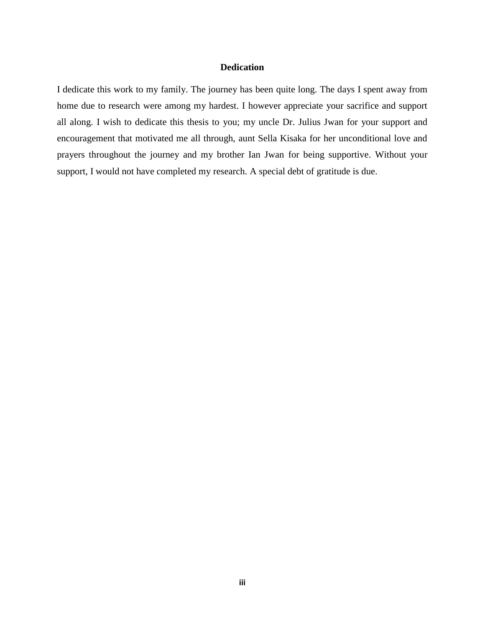## **Dedication**

I dedicate this work to my family. The journey has been quite long. The days I spent away from home due to research were among my hardest. I however appreciate your sacrifice and support all along. I wish to dedicate this thesis to you; my uncle Dr. Julius Jwan for your support and encouragement that motivated me all through, aunt Sella Kisaka for her unconditional love and prayers throughout the journey and my brother Ian Jwan for being supportive. Without your support, I would not have completed my research. A special debt of gratitude is due.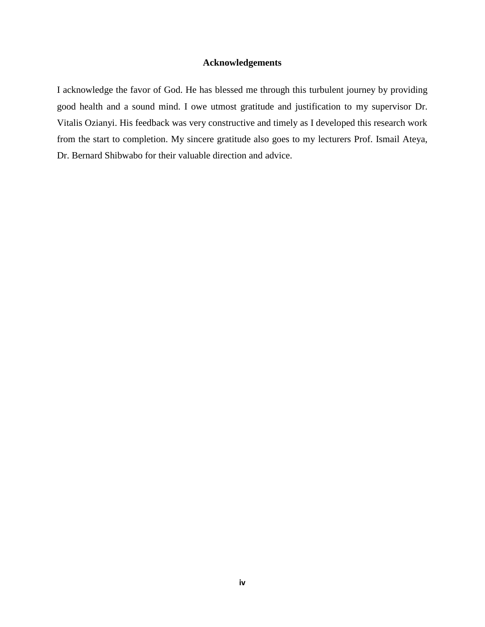# **Acknowledgements**

I acknowledge the favor of God. He has blessed me through this turbulent journey by providing good health and a sound mind. I owe utmost gratitude and justification to my supervisor Dr. Vitalis Ozianyi. His feedback was very constructive and timely as I developed this research work from the start to completion. My sincere gratitude also goes to my lecturers Prof. Ismail Ateya, Dr. Bernard Shibwabo for their valuable direction and advice.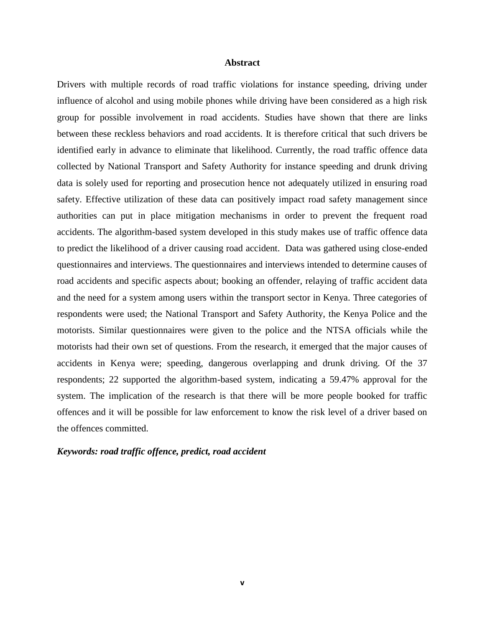#### **Abstract**

Drivers with multiple records of road traffic violations for instance speeding, driving under influence of alcohol and using mobile phones while driving have been considered as a high risk group for possible involvement in road accidents. Studies have shown that there are links between these reckless behaviors and road accidents. It is therefore critical that such drivers be identified early in advance to eliminate that likelihood. Currently, the road traffic offence data collected by National Transport and Safety Authority for instance speeding and drunk driving data is solely used for reporting and prosecution hence not adequately utilized in ensuring road safety. Effective utilization of these data can positively impact road safety management since authorities can put in place mitigation mechanisms in order to prevent the frequent road accidents. The algorithm-based system developed in this study makes use of traffic offence data to predict the likelihood of a driver causing road accident. Data was gathered using close-ended questionnaires and interviews. The questionnaires and interviews intended to determine causes of road accidents and specific aspects about; booking an offender, relaying of traffic accident data and the need for a system among users within the transport sector in Kenya. Three categories of respondents were used; the National Transport and Safety Authority, the Kenya Police and the motorists. Similar questionnaires were given to the police and the NTSA officials while the motorists had their own set of questions. From the research, it emerged that the major causes of accidents in Kenya were; speeding, dangerous overlapping and drunk driving. Of the 37 respondents; 22 supported the algorithm-based system, indicating a 59.47% approval for the system. The implication of the research is that there will be more people booked for traffic offences and it will be possible for law enforcement to know the risk level of a driver based on the offences committed.

#### *Keywords: road traffic offence, predict, road accident*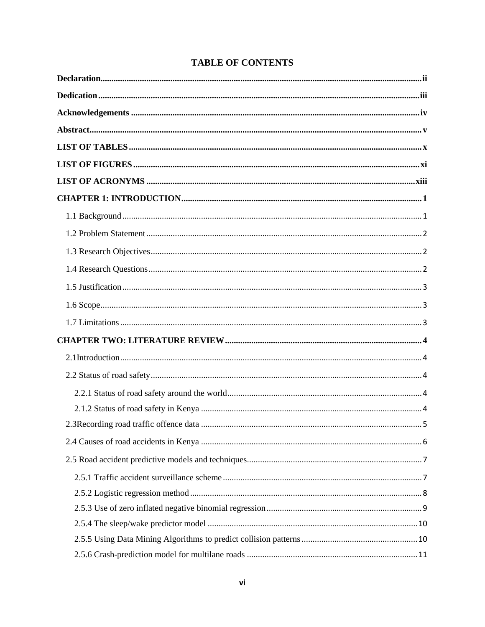# **TABLE OF CONTENTS**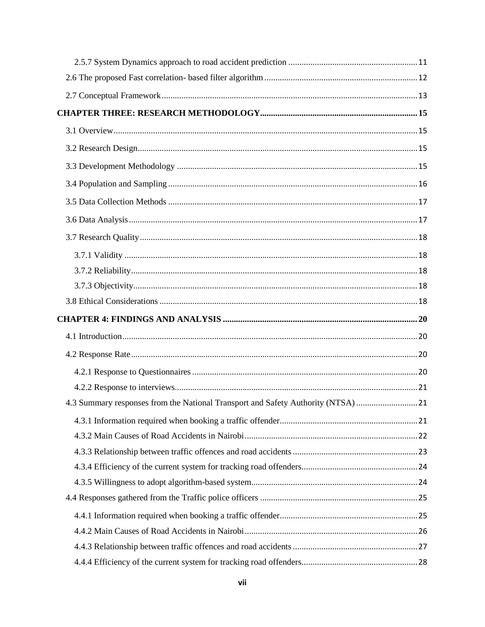| 4.3 Summary responses from the National Transport and Safety Authority (NTSA) 21 |  |
|----------------------------------------------------------------------------------|--|
|                                                                                  |  |
|                                                                                  |  |
|                                                                                  |  |
|                                                                                  |  |
|                                                                                  |  |
|                                                                                  |  |
|                                                                                  |  |
|                                                                                  |  |
|                                                                                  |  |
|                                                                                  |  |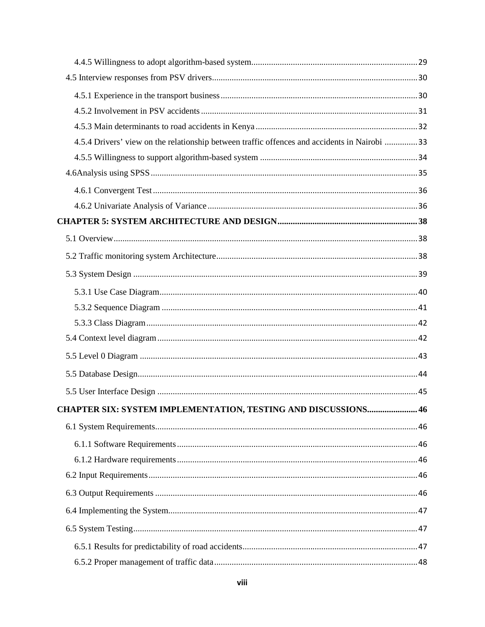| 4.5.4 Drivers' view on the relationship between traffic offences and accidents in Nairobi 33 |     |
|----------------------------------------------------------------------------------------------|-----|
|                                                                                              |     |
|                                                                                              |     |
|                                                                                              |     |
|                                                                                              |     |
|                                                                                              |     |
|                                                                                              |     |
|                                                                                              |     |
|                                                                                              |     |
|                                                                                              |     |
|                                                                                              |     |
|                                                                                              |     |
|                                                                                              |     |
|                                                                                              |     |
|                                                                                              |     |
|                                                                                              |     |
| CHAPTER SIX: SYSTEM IMPLEMENTATION, TESTING AND DISCUSSIONS                                  | .46 |
|                                                                                              |     |
|                                                                                              |     |
|                                                                                              |     |
|                                                                                              |     |
|                                                                                              |     |
|                                                                                              |     |
|                                                                                              |     |
|                                                                                              |     |
|                                                                                              |     |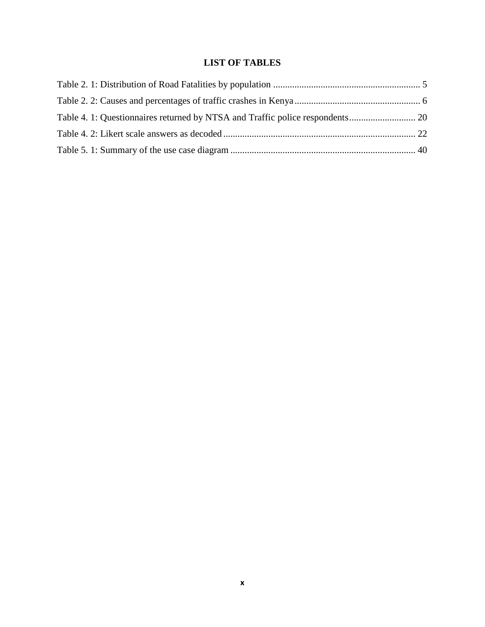# **LIST OF TABLES**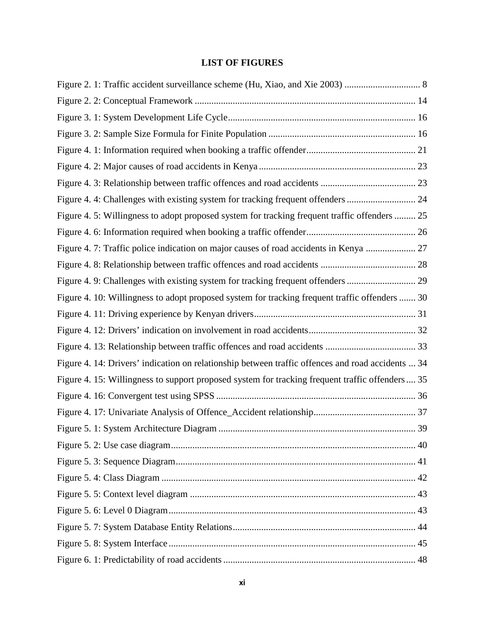# **LIST OF FIGURES**

| Figure 4. 5: Willingness to adopt proposed system for tracking frequent traffic offenders  25     |  |
|---------------------------------------------------------------------------------------------------|--|
|                                                                                                   |  |
| Figure 4. 7: Traffic police indication on major causes of road accidents in Kenya  27             |  |
|                                                                                                   |  |
| Figure 4. 9: Challenges with existing system for tracking frequent offenders  29                  |  |
| Figure 4. 10: Willingness to adopt proposed system for tracking frequent traffic offenders  30    |  |
|                                                                                                   |  |
|                                                                                                   |  |
|                                                                                                   |  |
| Figure 4. 14: Drivers' indication on relationship between traffic offences and road accidents  34 |  |
| Figure 4. 15: Willingness to support proposed system for tracking frequent traffic offenders 35   |  |
|                                                                                                   |  |
|                                                                                                   |  |
|                                                                                                   |  |
|                                                                                                   |  |
|                                                                                                   |  |
|                                                                                                   |  |
|                                                                                                   |  |
|                                                                                                   |  |
|                                                                                                   |  |
|                                                                                                   |  |
|                                                                                                   |  |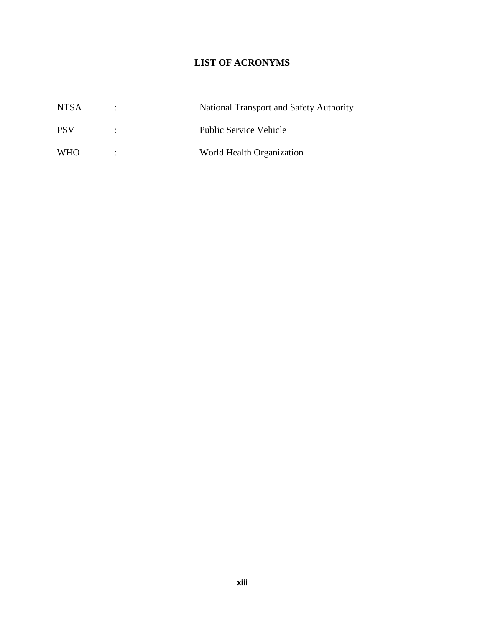# **LIST OF ACRONYMS**

| <b>NTSA</b> |           | National Transport and Safety Authority |
|-------------|-----------|-----------------------------------------|
| <b>PSV</b>  | $\bullet$ | <b>Public Service Vehicle</b>           |
| <b>WHO</b>  | ٠         | World Health Organization               |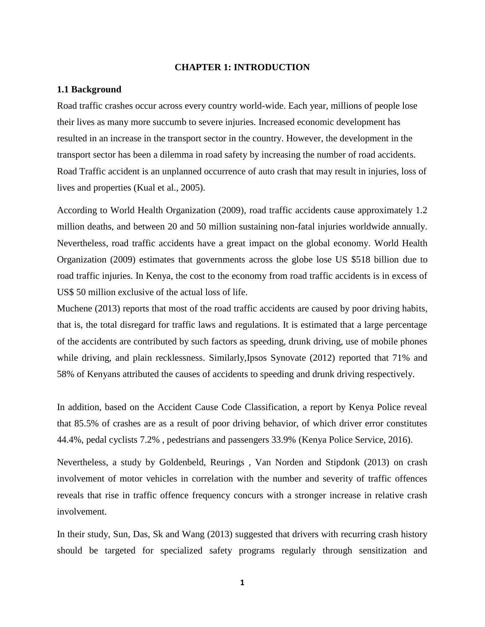#### **CHAPTER 1: INTRODUCTION**

#### **1.1 Background**

Road traffic crashes occur across every country world-wide. Each year, millions of people lose their lives as many more succumb to severe injuries. Increased economic development has resulted in an increase in the transport sector in the country. However, the development in the transport sector has been a dilemma in road safety by increasing the number of road accidents. Road Traffic accident is an unplanned occurrence of auto crash that may result in injuries, loss of lives and properties (Kual et al., 2005).

According to World Health Organization (2009), road traffic accidents cause approximately 1.2 million deaths, and between 20 and 50 million sustaining non-fatal injuries worldwide annually. Nevertheless, road traffic accidents have a great impact on the global economy. World Health Organization (2009) estimates that governments across the globe lose US \$518 billion due to road traffic injuries. In Kenya, the cost to the economy from road traffic accidents is in excess of US\$ 50 million exclusive of the actual loss of life.

Muchene (2013) reports that most of the road traffic accidents are caused by poor driving habits, that is, the total disregard for traffic laws and regulations. It is estimated that a large percentage of the accidents are contributed by such factors as speeding, drunk driving, use of mobile phones while driving, and plain recklessness. Similarly, Ipsos Synovate (2012) reported that 71% and 58% of Kenyans attributed the causes of accidents to speeding and drunk driving respectively.

In addition, based on the Accident Cause Code Classification, a report by Kenya Police reveal that 85.5% of crashes are as a result of poor driving behavior, of which driver error constitutes 44.4%, pedal cyclists 7.2% , pedestrians and passengers 33.9% (Kenya Police Service, 2016).

Nevertheless, a study by Goldenbeld, Reurings , Van Norden and Stipdonk (2013) on crash involvement of motor vehicles in correlation with the number and severity of traffic offences reveals that rise in traffic offence frequency concurs with a stronger increase in relative crash involvement.

In their study, Sun, Das, Sk and Wang (2013) suggested that drivers with recurring crash history should be targeted for specialized safety programs regularly through sensitization and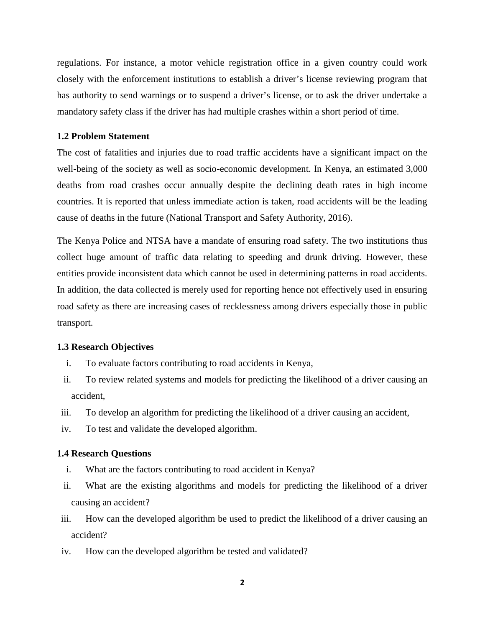regulations. For instance, a motor vehicle registration office in a given country could work closely with the enforcement institutions to establish a driver's license reviewing program that has authority to send warnings or to suspend a driver's license, or to ask the driver undertake a mandatory safety class if the driver has had multiple crashes within a short period of time.

#### **1.2 Problem Statement**

The cost of fatalities and injuries due to road traffic accidents have a significant impact on the well-being of the society as well as socio-economic development. In Kenya, an estimated 3,000 deaths from road crashes occur annually despite the declining death rates in high income countries. It is reported that unless immediate action is taken, road accidents will be the leading cause of deaths in the future (National Transport and Safety Authority, 2016).

The Kenya Police and NTSA have a mandate of ensuring road safety. The two institutions thus collect huge amount of traffic data relating to speeding and drunk driving. However, these entities provide inconsistent data which cannot be used in determining patterns in road accidents. In addition, the data collected is merely used for reporting hence not effectively used in ensuring road safety as there are increasing cases of recklessness among drivers especially those in public transport.

#### **1.3 Research Objectives**

- i. To evaluate factors contributing to road accidents in Kenya,
- ii. To review related systems and models for predicting the likelihood of a driver causing an accident,
- iii. To develop an algorithm for predicting the likelihood of a driver causing an accident,
- iv. To test and validate the developed algorithm.

#### **1.4 Research Questions**

- i. What are the factors contributing to road accident in Kenya?
- ii. What are the existing algorithms and models for predicting the likelihood of a driver causing an accident?
- iii. How can the developed algorithm be used to predict the likelihood of a driver causing an accident?
- iv. How can the developed algorithm be tested and validated?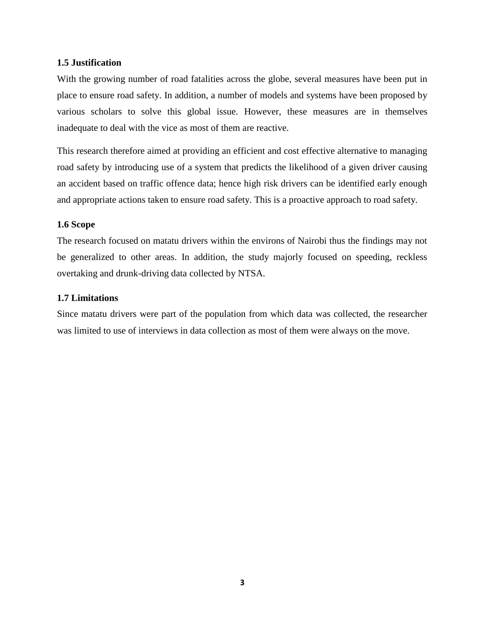# **1.5 Justification**

With the growing number of road fatalities across the globe, several measures have been put in place to ensure road safety. In addition, a number of models and systems have been proposed by various scholars to solve this global issue. However, these measures are in themselves inadequate to deal with the vice as most of them are reactive.

This research therefore aimed at providing an efficient and cost effective alternative to managing road safety by introducing use of a system that predicts the likelihood of a given driver causing an accident based on traffic offence data; hence high risk drivers can be identified early enough and appropriate actions taken to ensure road safety. This is a proactive approach to road safety.

## **1.6 Scope**

The research focused on matatu drivers within the environs of Nairobi thus the findings may not be generalized to other areas. In addition, the study majorly focused on speeding, reckless overtaking and drunk-driving data collected by NTSA.

# **1.7 Limitations**

Since matatu drivers were part of the population from which data was collected, the researcher was limited to use of interviews in data collection as most of them were always on the move.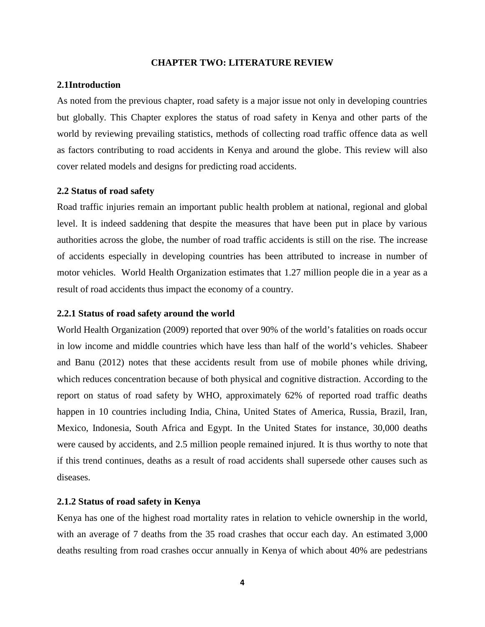#### **CHAPTER TWO: LITERATURE REVIEW**

#### **2.1Introduction**

As noted from the previous chapter, road safety is a major issue not only in developing countries but globally. This Chapter explores the status of road safety in Kenya and other parts of the world by reviewing prevailing statistics, methods of collecting road traffic offence data as well as factors contributing to road accidents in Kenya and around the globe. This review will also cover related models and designs for predicting road accidents.

#### **2.2 Status of road safety**

Road traffic injuries remain an important public health problem at national, regional and global level. It is indeed saddening that despite the measures that have been put in place by various authorities across the globe, the number of road traffic accidents is still on the rise. The increase of accidents especially in developing countries has been attributed to increase in number of motor vehicles. World Health Organization estimates that 1.27 million people die in a year as a result of road accidents thus impact the economy of a country.

#### **2.2.1 Status of road safety around the world**

World Health Organization (2009) reported that over 90% of the world's fatalities on roads occur in low income and middle countries which have less than half of the world's vehicles. Shabeer and Banu (2012) notes that these accidents result from use of mobile phones while driving, which reduces concentration because of both physical and cognitive distraction. According to the report on status of road safety by WHO, approximately 62% of reported road traffic deaths happen in 10 countries including India, China, United States of America, Russia, Brazil, Iran, Mexico, Indonesia, South Africa and Egypt. In the United States for instance, 30,000 deaths were caused by accidents, and 2.5 million people remained injured. It is thus worthy to note that if this trend continues, deaths as a result of road accidents shall supersede other causes such as diseases.

#### **2.1.2 Status of road safety in Kenya**

Kenya has one of the highest road mortality rates in relation to vehicle ownership in the world, with an average of 7 deaths from the 35 road crashes that occur each day. An estimated 3,000 deaths resulting from road crashes occur annually in Kenya of which about 40% are pedestrians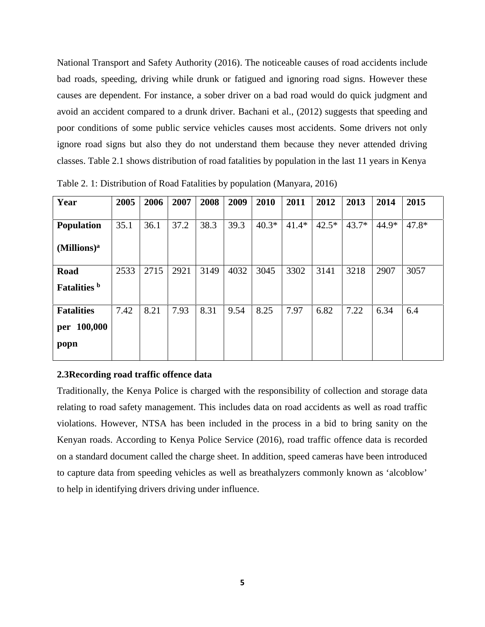National Transport and Safety Authority (2016). The noticeable causes of road accidents include bad roads, speeding, driving while drunk or fatigued and ignoring road signs. However these causes are dependent. For instance, a sober driver on a bad road would do quick judgment and avoid an accident compared to a drunk driver. Bachani et al., (2012) suggests that speeding and poor conditions of some public service vehicles causes most accidents. Some drivers not only ignore road signs but also they do not understand them because they never attended driving classes. Table 2.1 shows distribution of road fatalities by population in the last 11 years in Kenya

| Year                    | 2005 | 2006 | 2007 | 2008 | 2009 | 2010    | 2011    | 2012    | 2013    | 2014  | 2015    |
|-------------------------|------|------|------|------|------|---------|---------|---------|---------|-------|---------|
| <b>Population</b>       | 35.1 | 36.1 | 37.2 | 38.3 | 39.3 | $40.3*$ | $41.4*$ | $42.5*$ | $43.7*$ | 44.9* | $47.8*$ |
| (Millions) <sup>a</sup> |      |      |      |      |      |         |         |         |         |       |         |
| Road                    | 2533 | 2715 | 2921 | 3149 | 4032 | 3045    | 3302    | 3141    | 3218    | 2907  | 3057    |
| Fatalities b            |      |      |      |      |      |         |         |         |         |       |         |
| <b>Fatalities</b>       | 7.42 | 8.21 | 7.93 | 8.31 | 9.54 | 8.25    | 7.97    | 6.82    | 7.22    | 6.34  | 6.4     |
| 100,000<br>per          |      |      |      |      |      |         |         |         |         |       |         |
| popn                    |      |      |      |      |      |         |         |         |         |       |         |
|                         |      |      |      |      |      |         |         |         |         |       |         |

Table 2. 1: Distribution of Road Fatalities by population (Manyara, 2016)

#### **2.3Recording road traffic offence data**

Traditionally, the Kenya Police is charged with the responsibility of collection and storage data relating to road safety management. This includes data on road accidents as well as road traffic violations. However, NTSA has been included in the process in a bid to bring sanity on the Kenyan roads. According to Kenya Police Service (2016), road traffic offence data is recorded on a standard document called the charge sheet. In addition, speed cameras have been introduced to capture data from speeding vehicles as well as breathalyzers commonly known as 'alcoblow' to help in identifying drivers driving under influence.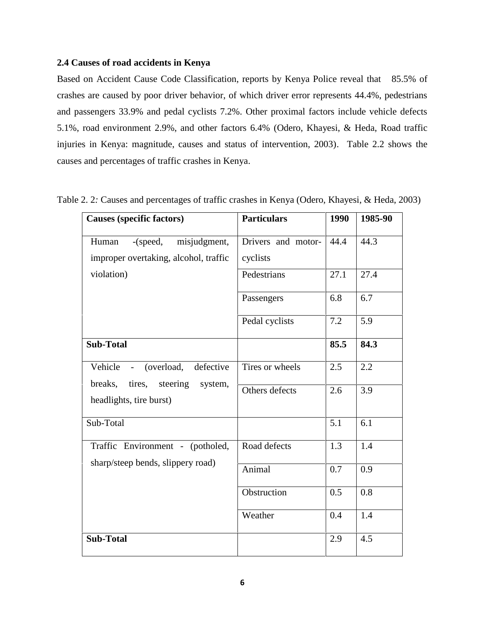# **2.4 Causes of road accidents in Kenya**

Based on Accident Cause Code Classification, reports by Kenya Police reveal that 85.5% of crashes are caused by poor driver behavior, of which driver error represents 44.4%, pedestrians and passengers 33.9% and pedal cyclists 7.2%. Other proximal factors include vehicle defects 5.1%, road environment 2.9%, and other factors 6.4% (Odero, Khayesi, & Heda, Road traffic injuries in Kenya: magnitude, causes and status of intervention, 2003). Table 2.2 shows the causes and percentages of traffic crashes in Kenya.

| <b>Causes (specific factors)</b>                              | <b>Particulars</b> | 1990 | 1985-90 |
|---------------------------------------------------------------|--------------------|------|---------|
| misjudgment,<br>Human<br>$-(speed,$                           | Drivers and motor- | 44.4 | 44.3    |
| improper overtaking, alcohol, traffic                         | cyclists           |      |         |
| violation)                                                    | Pedestrians        | 27.1 | 27.4    |
|                                                               | Passengers         | 6.8  | 6.7     |
|                                                               | Pedal cyclists     | 7.2  | 5.9     |
| <b>Sub-Total</b>                                              |                    | 85.5 | 84.3    |
| Vehicle - (overload,<br>defective                             | Tires or wheels    | 2.5  | 2.2     |
| breaks, tires, steering<br>system,<br>headlights, tire burst) | Others defects     | 2.6  | 3.9     |
| Sub-Total                                                     |                    | 5.1  | 6.1     |
| Traffic Environment - (potholed,                              | Road defects       | 1.3  | 1.4     |
| sharp/steep bends, slippery road)                             | Animal             | 0.7  | 0.9     |
|                                                               | Obstruction        | 0.5  | 0.8     |
|                                                               | Weather            | 0.4  | 1.4     |
| <b>Sub-Total</b>                                              |                    | 2.9  | 4.5     |
|                                                               |                    |      |         |

Table 2. 2*:* Causes and percentages of traffic crashes in Kenya (Odero, Khayesi, & Heda, 2003)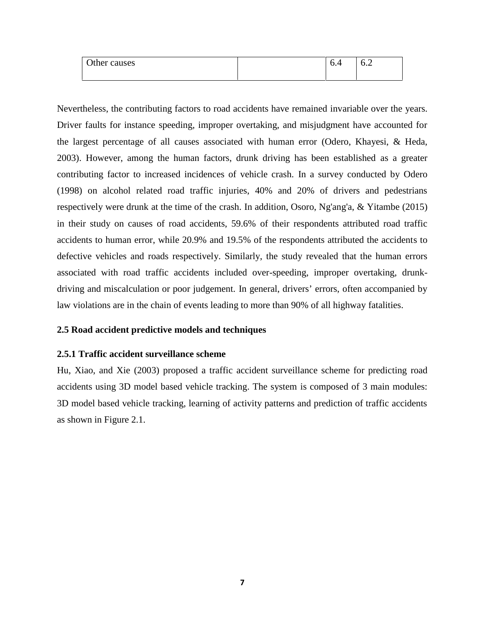| Other causes | ∽<br>ı<br>∪.⊣ | -<br>∽<br>$\mathsf{u}.\mathsf{v}$ |
|--------------|---------------|-----------------------------------|
|              |               |                                   |

Nevertheless, the contributing factors to road accidents have remained invariable over the years. Driver faults for instance speeding, improper overtaking, and misjudgment have accounted for the largest percentage of all causes associated with human error (Odero, Khayesi, & Heda, 2003). However, among the human factors, drunk driving has been established as a greater contributing factor to increased incidences of vehicle crash. In a survey conducted by Odero (1998) on alcohol related road traffic injuries, 40% and 20% of drivers and pedestrians respectively were drunk at the time of the crash. In addition, Osoro, Ng'ang'a, & Yitambe (2015) in their study on causes of road accidents, 59.6% of their respondents attributed road traffic accidents to human error, while 20.9% and 19.5% of the respondents attributed the accidents to defective vehicles and roads respectively. Similarly, the study revealed that the human errors associated with road traffic accidents included over-speeding, improper overtaking, drunk driving and miscalculation or poor judgement. In general, drivers' errors, often accompanied by law violations are in the chain of events leading to more than 90% of all highway fatalities.

# **2.5 Road accident predictive models and techniques**

# **2.5.1 Traffic accident surveillance scheme**

Hu, Xiao, and Xie (2003) proposed a traffic accident surveillance scheme for predicting road accidents using 3D model based vehicle tracking. The system is composed of 3 main modules: 3D model based vehicle tracking, learning of activity patterns and prediction of traffic accidents as shown in Figure 2.1.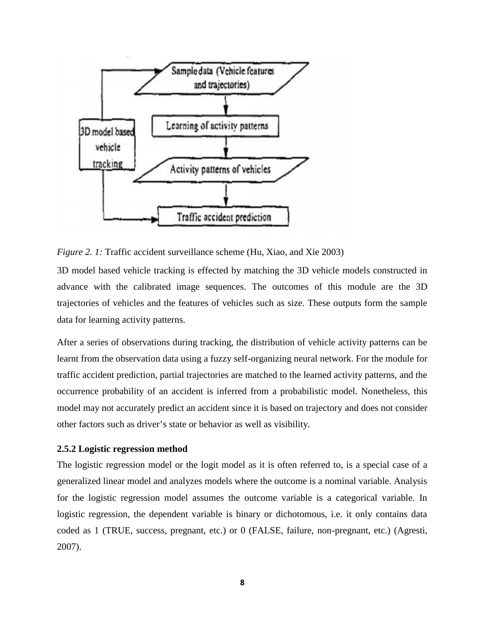

*Figure 2. 1:* Traffic accident surveillance scheme (Hu, Xiao, and Xie 2003)

3D model based vehicle tracking is effected by matching the 3D vehicle models constructed in advance with the calibrated image sequences. The outcomes of this module are the 3D trajectories of vehicles and the features of vehicles such as size. These outputs form the sample data for learning activity patterns.

After a series of observations during tracking, the distribution of vehicle activity patterns can be learnt from the observation data using a fuzzy self-organizing neural network. For the module for traffic accident prediction, partial trajectories are matched to the learned activity patterns, and the occurrence probability of an accident is inferred from a probabilistic model. Nonetheless, this model may not accurately predict an accident since it is based on trajectory and does not consider other factors such as driver's state or behavior as well as visibility.

#### **2.5.2 Logistic regression method**

The logistic regression model or the logit model as it is often referred to, is a special case of a generalized linear model and analyzes models where the outcome is a nominal variable. Analysis for the logistic regression model assumes the outcome variable is a categorical variable. In logistic regression, the dependent variable is binary or dichotomous, i.e. it only contains data coded as 1 (TRUE, success, pregnant, etc.) or 0 (FALSE, failure, non-pregnant, etc.) (Agresti, 2007).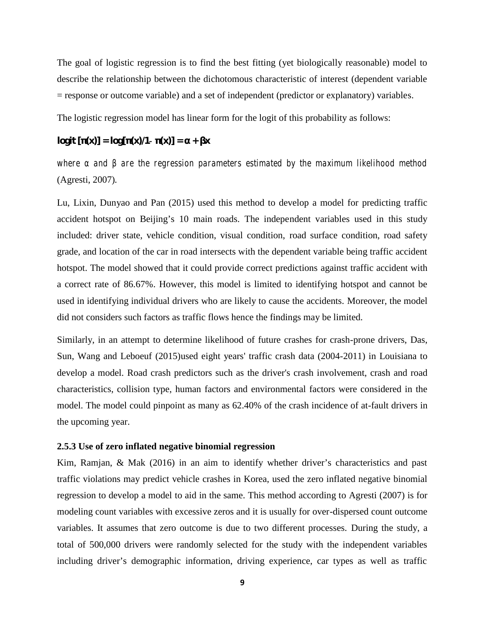The goal of logistic regression is to find the best fitting (yet biologically reasonable) model to describe the relationship between the dichotomous characteristic of interest (dependent variable = response or outcome variable) and a set of independent (predictor or explanatory) variables.

The logistic regression model has linear form for the logit of this probability as follows:

# **logit**  $\begin{bmatrix} (\mathbf{x}) \end{bmatrix} = \log[(\mathbf{x})/1 - (\mathbf{x})] = + \mathbf{x}$

*where* and are the regression parameters estimated by the maximum likelihood method (Agresti, 2007)*.*

Lu, Lixin, Dunyao and Pan (2015) used this method to develop a model for predicting traffic accident hotspot on Beijing's 10 main roads. The independent variables used in this study included: driver state, vehicle condition, visual condition, road surface condition, road safety grade, and location of the car in road intersects with the dependent variable being traffic accident hotspot. The model showed that it could provide correct predictions against traffic accident with a correct rate of 86.67%. However, this model is limited to identifying hotspot and cannot be used in identifying individual drivers who are likely to cause the accidents. Moreover, the model did not considers such factors as traffic flows hence the findings may be limited.

Similarly, in an attempt to determine likelihood of future crashes for crash-prone drivers, Das, Sun, Wang and Leboeuf (2015)used eight years' traffic crash data (2004-2011) in Louisiana to develop a model. Road crash predictors such as the driver's crash involvement, crash and road characteristics, collision type, human factors and environmental factors were considered in the model. The model could pinpoint as many as 62.40% of the crash incidence of at-fault drivers in the upcoming year.

#### **2.5.3 Use of zero inflated negative binomial regression**

Kim, Ramjan, & Mak (2016) in an aim to identify whether driver's characteristics and past traffic violations may predict vehicle crashes in Korea, used the zero inflated negative binomial regression to develop a model to aid in the same. This method according to Agresti (2007) is for modeling count variables with excessive zeros and it is usually for over-dispersed count outcome variables. It assumes that zero outcome is due to two different processes. During the study, a total of 500,000 drivers were randomly selected for the study with the independent variables including driver's demographic information, driving experience, car types as well as traffic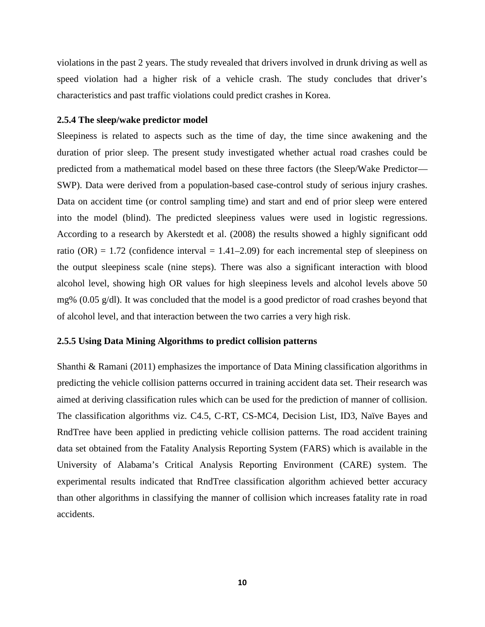violations in the past 2 years. The study revealed that drivers involved in drunk driving as well as speed violation had a higher risk of a vehicle crash. The study concludes that driver's characteristics and past traffic violations could predict crashes in Korea.

#### **2.5.4 The sleep/wake predictor model**

Sleepiness is related to aspects such as the time of day, the time since awakening and the duration of prior sleep. The present study investigated whether actual road crashes could be predicted from a mathematical model based on these three factors (the Sleep/Wake Predictor— SWP). Data were derived from a population-based case-control study of serious injury crashes. Data on accident time (or control sampling time) and start and end of prior sleep were entered into the model (blind). The predicted sleepiness values were used in logistic regressions. According to a research by Akerstedt et al. (2008) the results showed a highly significant odd ratio (OR) = 1.72 (confidence interval = 1.41–2.09) for each incremental step of sleepiness on the output sleepiness scale (nine steps). There was also a significant interaction with blood alcohol level, showing high OR values for high sleepiness levels and alcohol levels above 50 mg% (0.05 g/dl). It was concluded that the model is a good predictor of road crashes beyond that of alcohol level, and that interaction between the two carries a very high risk.

#### **2.5.5 Using Data Mining Algorithms to predict collision patterns**

Shanthi & Ramani (2011) emphasizes the importance of Data Mining classification algorithms in predicting the vehicle collision patterns occurred in training accident data set. Their research was aimed at deriving classification rules which can be used for the prediction of manner of collision. The classification algorithms viz. C4.5, C-RT, CS-MC4, Decision List, ID3, Naïve Bayes and RndTree have been applied in predicting vehicle collision patterns. The road accident training data set obtained from the Fatality Analysis Reporting System (FARS) which is available in the University of Alabama's Critical Analysis Reporting Environment (CARE) system. The experimental results indicated that RndTree classification algorithm achieved better accuracy than other algorithms in classifying the manner of collision which increases fatality rate in road accidents.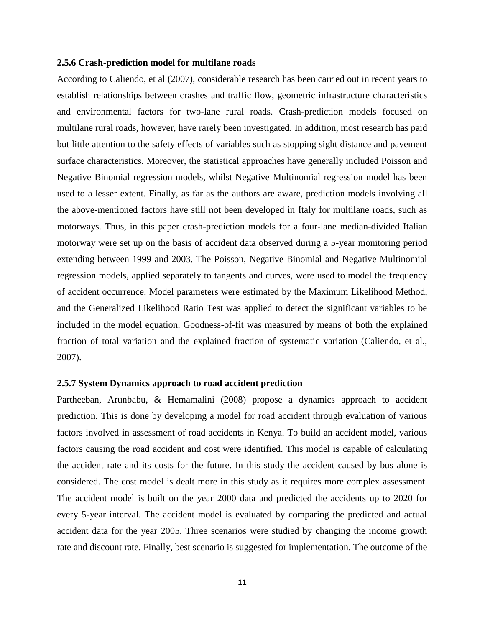#### **2.5.6 Crash-prediction model for multilane roads**

According to Caliendo, et al (2007), considerable research has been carried out in recent years to establish relationships between crashes and traffic flow, geometric infrastructure characteristics and environmental factors for two-lane rural roads. Crash-prediction models focused on multilane rural roads, however, have rarely been investigated. In addition, most research has paid but little attention to the safety effects of variables such as stopping sight distance and pavement surface characteristics. Moreover, the statistical approaches have generally included Poisson and Negative Binomial regression models, whilst Negative Multinomial regression model has been used to a lesser extent. Finally, as far as the authors are aware, prediction models involving all the above-mentioned factors have still not been developed in Italy for multilane roads, such as motorways. Thus, in this paper crash-prediction models for a four-lane median-divided Italian motorway were set up on the basis of accident data observed during a 5-year monitoring period extending between 1999 and 2003. The Poisson, Negative Binomial and Negative Multinomial regression models, applied separately to tangents and curves, were used to model the frequency of accident occurrence. Model parameters were estimated by the Maximum Likelihood Method, and the Generalized Likelihood Ratio Test was applied to detect the significant variables to be included in the model equation. Goodness-of-fit was measured by means of both the explained fraction of total variation and the explained fraction of systematic variation (Caliendo, et al., 2007).

#### **2.5.7 System Dynamics approach to road accident prediction**

Partheeban, Arunbabu, & Hemamalini (2008) propose a dynamics approach to accident prediction. This is done by developing a model for road accident through evaluation of various factors involved in assessment of road accidents in Kenya. To build an accident model, various factors causing the road accident and cost were identified. This model is capable of calculating the accident rate and its costs for the future. In this study the accident caused by bus alone is considered. The cost model is dealt more in this study as it requires more complex assessment. The accident model is built on the year 2000 data and predicted the accidents up to 2020 for every 5 year interval. The accident model is evaluated by comparing the predicted and actual accident data for the year 2005. Three scenarios were studied by changing the income growth rate and discount rate. Finally, best scenario is suggested for implementation. The outcome of the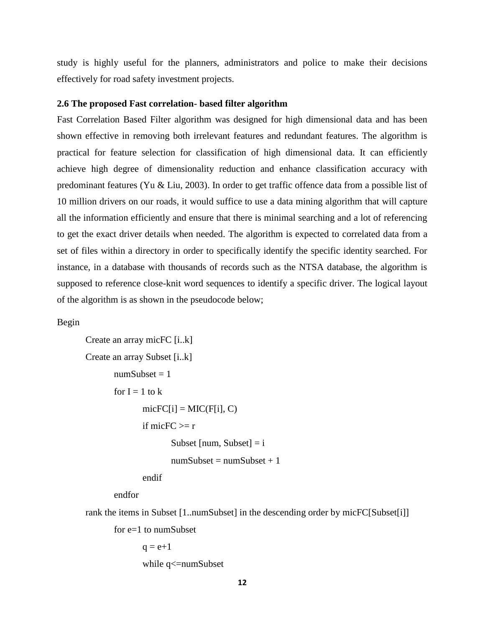study is highly useful for the planners, administrators and police to make their decisions effectively for road safety investment projects.

#### **2.6 The proposed Fast correlation- based filter algorithm**

Fast Correlation Based Filter algorithm was designed for high dimensional data and has been shown effective in removing both irrelevant features and redundant features. The algorithm is practical for feature selection for classification of high dimensional data. It can efficiently achieve high degree of dimensionality reduction and enhance classification accuracy with predominant features (Yu & Liu, 2003). In order to get traffic offence data from a possible list of 10 million drivers on our roads, it would suffice to use a data mining algorithm that will capture all the information efficiently and ensure that there is minimal searching and a lot of referencing to get the exact driver details when needed. The algorithm is expected to correlated data from a set of files within a directory in order to specifically identify the specific identity searched. For instance, in a database with thousands of records such as the NTSA database, the algorithm is supposed to reference close-knit word sequences to identify a specific driver. The logical layout of the algorithm is as shown in the pseudocode below;

Begin

```
Create an array micFC [i..k]
Create an array Subset [i..k]
       numSubset = 1for I = 1 to kmicFC[i] = MIC(F[i], C)if micFC >= rSubset [num, Subset] = i
                     numSubset = numSubset + 1endif
```
endfor

rank the items in Subset [1..numSubset] in the descending order by micFC[Subset[i]]

for e=1 to numSubset

 $q = e+1$ 

while q<=numSubset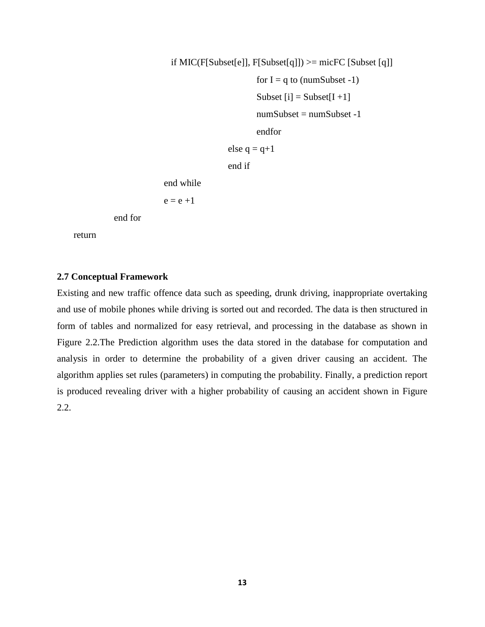if MIC(F[Subset[e]], F[Subset[q]])  $>=$  micFC [Subset [q]] for  $I = q$  to (numSubset -1)

> Subset  $[i]$  = Subset  $[I + 1]$  $numSubset = numSubset -1$ endfor

```
else q = q+1
```
end if

```
end while
```
 $e = e + 1$ 

end for

return

#### **2.7 Conceptual Framework**

Existing and new traffic offence data such as speeding, drunk driving, inappropriate overtaking and use of mobile phones while driving is sorted out and recorded. The data is then structured in form of tables and normalized for easy retrieval, and processing in the database as shown in Figure 2.2.The Prediction algorithm uses the data stored in the database for computation and analysis in order to determine the probability of a given driver causing an accident. The algorithm applies set rules (parameters) in computing the probability. Finally, a prediction report is produced revealing driver with a higher probability of causing an accident shown in Figure 2.2.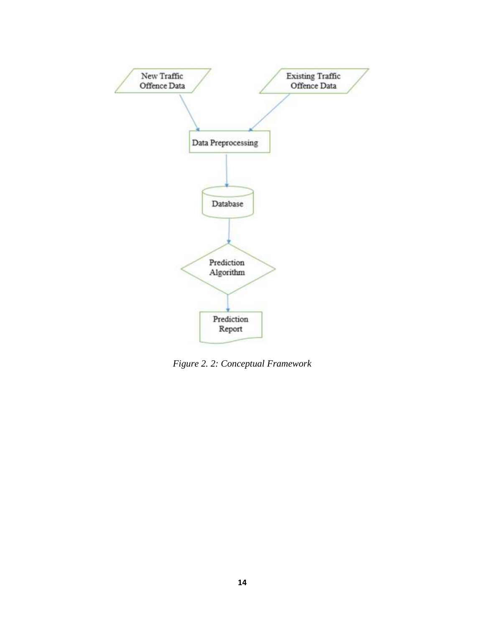

*Figure 2. 2: Conceptual Framework*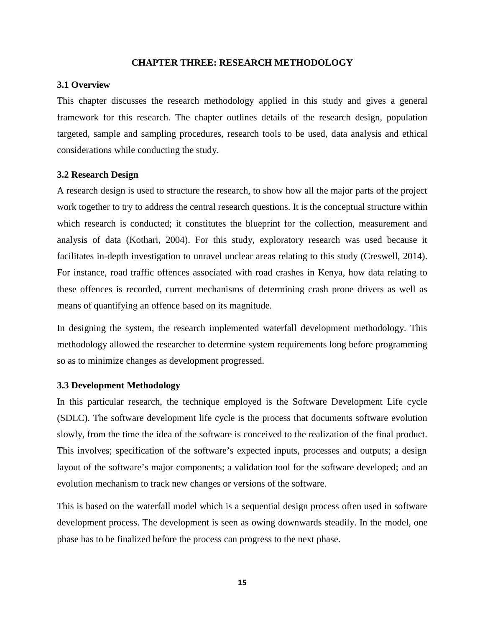#### **CHAPTER THREE: RESEARCH METHODOLOGY**

#### **3.1 Overview**

This chapter discusses the research methodology applied in this study and gives a general framework for this research. The chapter outlines details of the research design, population targeted, sample and sampling procedures, research tools to be used, data analysis and ethical considerations while conducting the study.

#### **3.2 Research Design**

A research design is used to structure the research, to show how all the major parts of the project work together to try to address the central research questions. It is the conceptual structure within which research is conducted; it constitutes the blueprint for the collection, measurement and analysis of data (Kothari, 2004). For this study, exploratory research was used because it facilitates in-depth investigation to unravel unclear areas relating to this study (Creswell, 2014). For instance, road traffic offences associated with road crashes in Kenya, how data relating to these offences is recorded, current mechanisms of determining crash prone drivers as well as means of quantifying an offence based on its magnitude.

In designing the system, the research implemented waterfall development methodology. This methodology allowed the researcher to determine system requirements long before programming so as to minimize changes as development progressed.

#### **3.3 Development Methodology**

In this particular research, the technique employed is the Software Development Life cycle (SDLC). The software development life cycle is the process that documents software evolution slowly, from the time the idea of the software is conceived to the realization of the final product. This involves; specification of the software's expected inputs, processes and outputs; a design layout of the software's major components; a validation tool for the software developed; and an evolution mechanism to track new changes or versions of the software.

This is based on the waterfall model which is a sequential design process often used in software development process. The development is seen as owing downwards steadily. In the model, one phase has to be finalized before the process can progress to the next phase.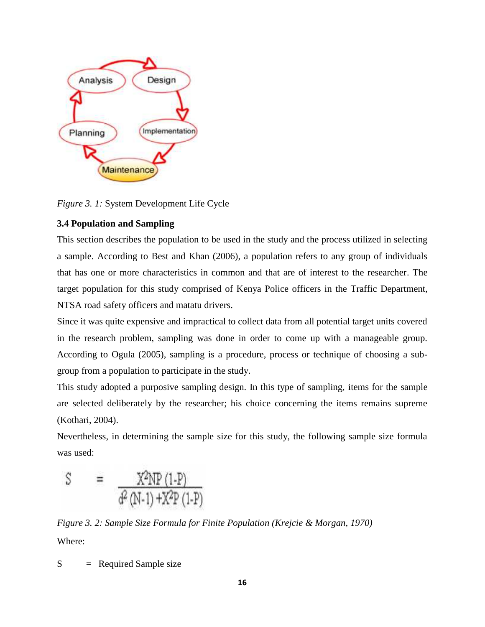

*Figure 3. 1:* System Development Life Cycle

# **3.4 Population and Sampling**

This section describes the population to be used in the study and the process utilized in selecting a sample. According to Best and Khan (2006), a population refers to any group of individuals that has one or more characteristics in common and that are of interest to the researcher. The target population for this study comprised of Kenya Police officers in the Traffic Department, NTSA road safety officers and matatu drivers.

Since it was quite expensive and impractical to collect data from all potential target units covered in the research problem, sampling was done in order to come up with a manageable group. According to Ogula (2005), sampling is a procedure, process or technique of choosing a sub group from a population to participate in the study.

This study adopted a purposive sampling design. In this type of sampling, items for the sample are selected deliberately by the researcher; his choice concerning the items remains supreme (Kothari, 2004).

Nevertheless, in determining the sample size for this study, the following sample size formula was used:

$$
S = \frac{X^2 NP (1-P)}{d^2 (N-1) + X^2 P (1-P)}
$$

*Figure 3. 2: Sample Size Formula for Finite Population (Krejcie & Morgan, 1970)* Where:

 $S = Required Sample size$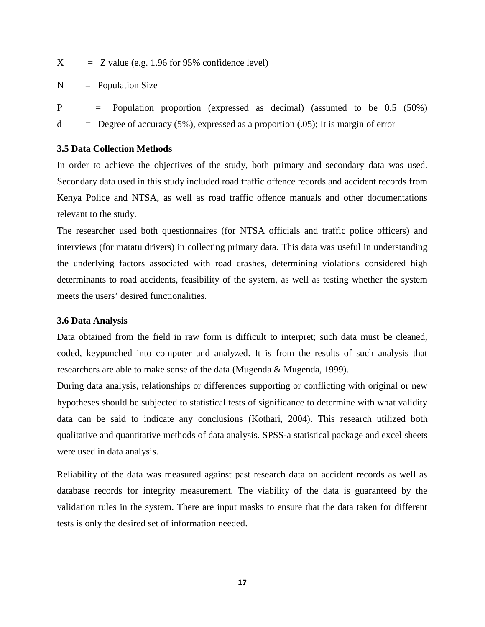$X = Z$  value (e.g. 1.96 for 95% confidence level)

 $N =$  Population Size

- P = Population proportion (expressed as decimal) (assumed to be 0.5 (50%)
- d  $=$  Degree of accuracy  $(5\%)$ , expressed as a proportion  $(0.05)$ ; It is margin of error

#### **3.5 Data Collection Methods**

In order to achieve the objectives of the study, both primary and secondary data was used. Secondary data used in this study included road traffic offence records and accident records from Kenya Police and NTSA, as well as road traffic offence manuals and other documentations relevant to the study.

The researcher used both questionnaires (for NTSA officials and traffic police officers) and interviews (for matatu drivers) in collecting primary data. This data was useful in understanding the underlying factors associated with road crashes, determining violations considered high determinants to road accidents, feasibility of the system, as well as testing whether the system meets the users' desired functionalities.

#### **3.6 Data Analysis**

Data obtained from the field in raw form is difficult to interpret; such data must be cleaned, coded, keypunched into computer and analyzed. It is from the results of such analysis that researchers are able to make sense of the data (Mugenda & Mugenda, 1999).

During data analysis, relationships or differences supporting or conflicting with original or new hypotheses should be subjected to statistical tests of significance to determine with what validity data can be said to indicate any conclusions (Kothari, 2004). This research utilized both qualitative and quantitative methods of data analysis. SPSS-a statistical package and excel sheets were used in data analysis.

Reliability of the data was measured against past research data on accident records as well as database records for integrity measurement. The viability of the data is guaranteed by the validation rules in the system. There are input masks to ensure that the data taken for different tests is only the desired set of information needed.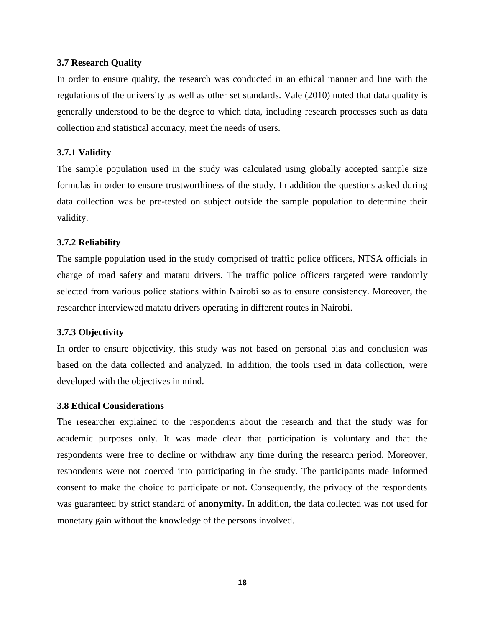### **3.7 Research Quality**

In order to ensure quality, the research was conducted in an ethical manner and line with the regulations of the university as well as other set standards. Vale (2010) noted that data quality is generally understood to be the degree to which data, including research processes such as data collection and statistical accuracy, meet the needs of users.

# **3.7.1 Validity**

The sample population used in the study was calculated using globally accepted sample size formulas in order to ensure trustworthiness of the study. In addition the questions asked during data collection was be pre-tested on subject outside the sample population to determine their validity.

## **3.7.2 Reliability**

The sample population used in the study comprised of traffic police officers, NTSA officials in charge of road safety and matatu drivers. The traffic police officers targeted were randomly selected from various police stations within Nairobi so as to ensure consistency. Moreover, the researcher interviewed matatu drivers operating in different routes in Nairobi.

#### **3.7.3 Objectivity**

In order to ensure objectivity, this study was not based on personal bias and conclusion was based on the data collected and analyzed. In addition, the tools used in data collection, were developed with the objectives in mind.

#### **3.8 Ethical Considerations**

The researcher explained to the respondents about the research and that the study was for academic purposes only. It was made clear that participation is voluntary and that the respondents were free to decline or withdraw any time during the research period. Moreover, respondents were not coerced into participating in the study. The participants made informed consent to make the choice to participate or not. Consequently, the privacy of the respondents was guaranteed by strict standard of **anonymity.** In addition, the data collected was not used for monetary gain without the knowledge of the persons involved.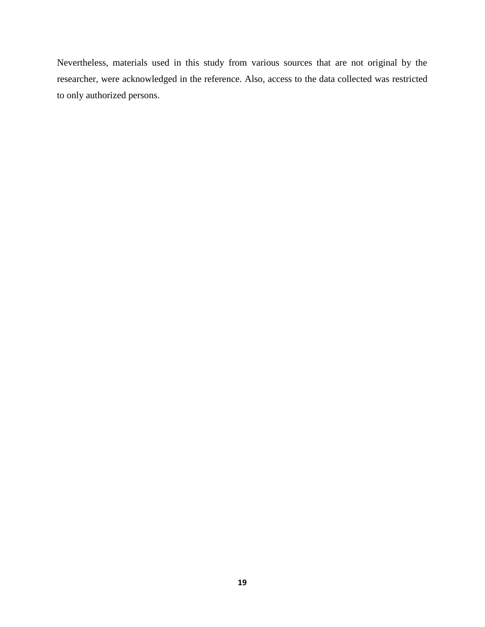Nevertheless, materials used in this study from various sources that are not original by the researcher, were acknowledged in the reference. Also, access to the data collected was restricted to only authorized persons.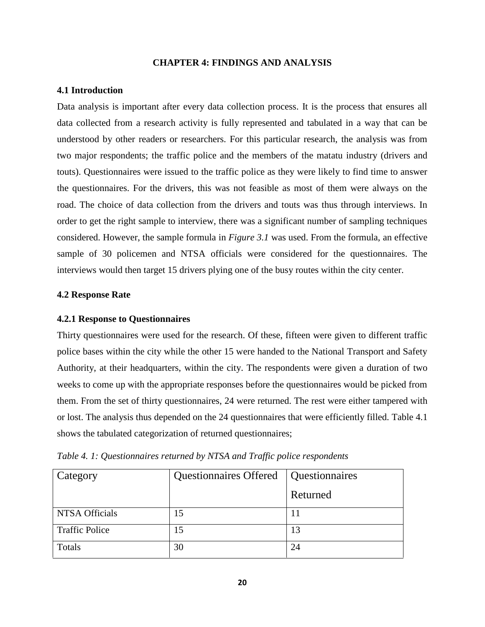#### **CHAPTER 4: FINDINGS AND ANALYSIS**

#### **4.1 Introduction**

Data analysis is important after every data collection process. It is the process that ensures all data collected from a research activity is fully represented and tabulated in a way that can be understood by other readers or researchers. For this particular research, the analysis was from two major respondents; the traffic police and the members of the matatu industry (drivers and touts). Questionnaires were issued to the traffic police as they were likely to find time to answer the questionnaires. For the drivers, this was not feasible as most of them were always on the road. The choice of data collection from the drivers and touts was thus through interviews. In order to get the right sample to interview, there was a significant number of sampling techniques considered. However, the sample formula in *Figure 3.1* was used. From the formula, an effective sample of 30 policemen and NTSA officials were considered for the questionnaires. The interviews would then target 15 drivers plying one of the busy routes within the city center.

#### **4.2 Response Rate**

#### **4.2.1 Response to Questionnaires**

Thirty questionnaires were used for the research. Of these, fifteen were given to different traffic police bases within the city while the other 15 were handed to the National Transport and Safety Authority, at their headquarters, within the city. The respondents were given a duration of two weeks to come up with the appropriate responses before the questionnaires would be picked from them. From the set of thirty questionnaires, 24 were returned. The rest were either tampered with or lost. The analysis thus depended on the 24 questionnaires that were efficiently filled. Table 4.1 shows the tabulated categorization of returned questionnaires;

| Category              | Questionnaires Offered   Questionnaires |          |
|-----------------------|-----------------------------------------|----------|
|                       |                                         | Returned |
| <b>NTSA Officials</b> | 15                                      |          |
| <b>Traffic Police</b> | 15                                      | 13       |
| Totals                | 30                                      | 24       |

*Table 4. 1: Questionnaires returned by NTSA and Traffic police respondents*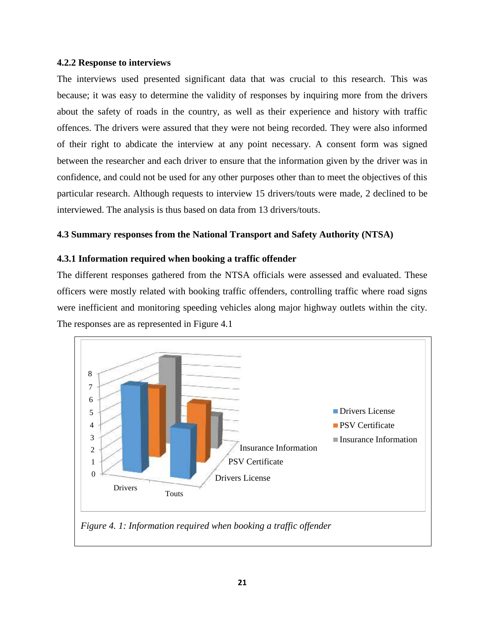#### **4.2.2 Response to interviews**

The interviews used presented significant data that was crucial to this research. This was because; it was easy to determine the validity of responses by inquiring more from the drivers about the safety of roads in the country, as well as their experience and history with traffic offences. The drivers were assured that they were not being recorded. They were also informed of their right to abdicate the interview at any point necessary. A consent form was signed between the researcher and each driver to ensure that the information given by the driver was in confidence, and could not be used for any other purposes other than to meet the objectives of this particular research. Although requests to interview 15 drivers/touts were made, 2 declined to be interviewed. The analysis is thus based on data from 13 drivers/touts.

# **4.3 Summary responses from the National Transport and Safety Authority (NTSA)**

# **4.3.1 Information required when booking a traffic offender**

The different responses gathered from the NTSA officials were assessed and evaluated. These officers were mostly related with booking traffic offenders, controlling traffic where road signs were inefficient and monitoring speeding vehicles along major highway outlets within the city. The responses are as represented in Figure 4.1

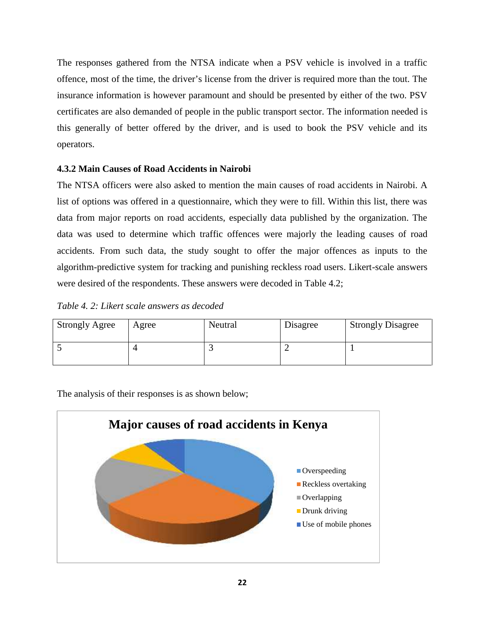The responses gathered from the NTSA indicate when a PSV vehicle is involved in a traffic offence, most of the time, the driver's license from the driver is required more than the tout. The insurance information is however paramount and should be presented by either of the two. PSV certificates are also demanded of people in the public transport sector. The information needed is this generally of better offered by the driver, and is used to book the PSV vehicle and its operators.

# **4.3.2 Main Causes of Road Accidents in Nairobi**

The NTSA officers were also asked to mention the main causes of road accidents in Nairobi. A list of options was offered in a questionnaire, which they were to fill. Within this list, there was data from major reports on road accidents, especially data published by the organization. The data was used to determine which traffic offences were majorly the leading causes of road accidents. From such data, the study sought to offer the major offences as inputs to the algorithm-predictive system for tracking and punishing reckless road users. Likert-scale answers were desired of the respondents. These answers were decoded in Table 4.2;

|  | Table 4. 2: Likert scale answers as decoded |  |
|--|---------------------------------------------|--|
|--|---------------------------------------------|--|

| <b>Strongly Agree</b> | Agree | Neutral | Disagree | <b>Strongly Disagree</b> |
|-----------------------|-------|---------|----------|--------------------------|
|                       |       |         |          |                          |

The analysis of their responses is as shown below;

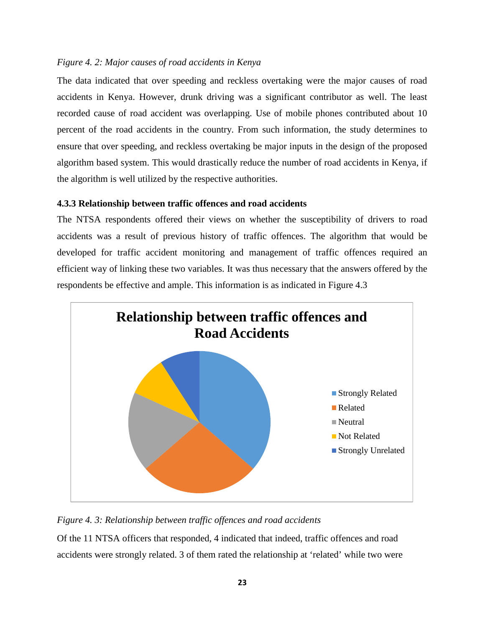#### *Figure 4. 2: Major causes of road accidents in Kenya*

The data indicated that over speeding and reckless overtaking were the major causes of road accidents in Kenya. However, drunk driving was a significant contributor as well. The least recorded cause of road accident was overlapping. Use of mobile phones contributed about 10 percent of the road accidents in the country. From such information, the study determines to ensure that over speeding, and reckless overtaking be major inputs in the design of the proposed algorithm based system. This would drastically reduce the number of road accidents in Kenya, if the algorithm is well utilized by the respective authorities.

#### **4.3.3 Relationship between traffic offences and road accidents**

The NTSA respondents offered their views on whether the susceptibility of drivers to road accidents was a result of previous history of traffic offences. The algorithm that would be developed for traffic accident monitoring and management of traffic offences required an efficient way of linking these two variables. It was thus necessary that the answers offered by the respondents be effective and ample. This information is as indicated in Figure 4.3



*Figure 4. 3: Relationship between traffic offences and road accidents*

Of the 11 NTSA officers that responded, 4 indicated that indeed, traffic offences and road accidents were strongly related. 3 of them rated the relationship at 'related' while two were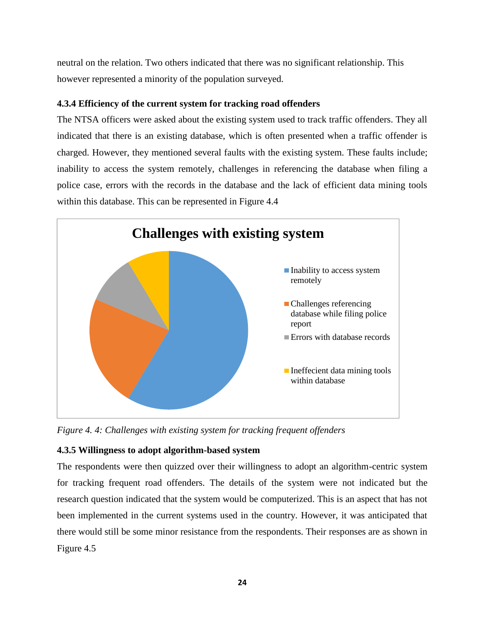neutral on the relation. Two others indicated that there was no significant relationship. This however represented a minority of the population surveyed.

## **4.3.4 Efficiency of the current system for tracking road offenders**

The NTSA officers were asked about the existing system used to track traffic offenders. They all indicated that there is an existing database, which is often presented when a traffic offender is charged. However, they mentioned several faults with the existing system. These faults include; inability to access the system remotely, challenges in referencing the database when filing a police case, errors with the records in the database and the lack of efficient data mining tools within this database. This can be represented in Figure 4.4



*Figure 4. 4: Challenges with existing system for tracking frequent offenders*

## **4.3.5 Willingness to adopt algorithm-based system**

The respondents were then quizzed over their willingness to adopt an algorithm-centric system for tracking frequent road offenders. The details of the system were not indicated but the research question indicated that the system would be computerized. This is an aspect that has not been implemented in the current systems used in the country. However, it was anticipated that there would still be some minor resistance from the respondents. Their responses are as shown in Figure 4.5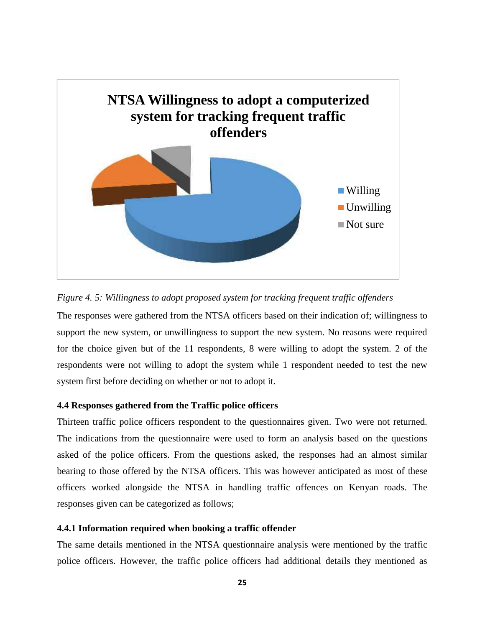



The responses were gathered from the NTSA officers based on their indication of; willingness to support the new system, or unwillingness to support the new system. No reasons were required for the choice given but of the 11 respondents, 8 were willing to adopt the system. 2 of the respondents were not willing to adopt the system while 1 respondent needed to test the new system first before deciding on whether or not to adopt it.

#### **4.4 Responses gathered from the Traffic police officers**

Thirteen traffic police officers respondent to the questionnaires given. Two were not returned. The indications from the questionnaire were used to form an analysis based on the questions asked of the police officers. From the questions asked, the responses had an almost similar bearing to those offered by the NTSA officers. This was however anticipated as most of these officers worked alongside the NTSA in handling traffic offences on Kenyan roads. The responses given can be categorized as follows;

#### **4.4.1 Information required when booking a traffic offender**

The same details mentioned in the NTSA questionnaire analysis were mentioned by the traffic police officers. However, the traffic police officers had additional details they mentioned as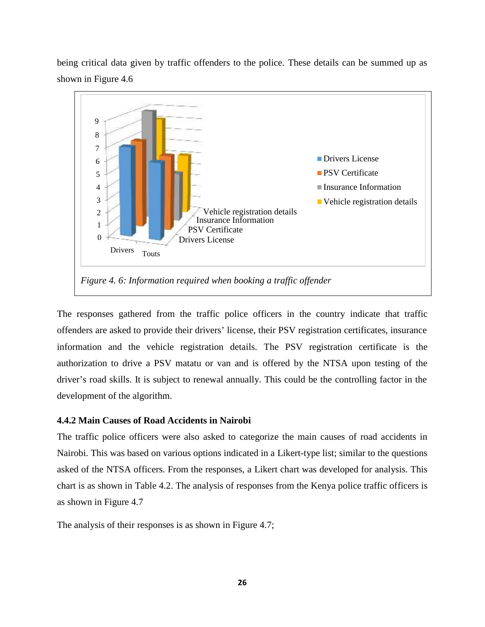being critical data given by traffic offenders to the police. These details can be summed up as shown in Figure 4.6



The responses gathered from the traffic police officers in the country indicate that traffic offenders are asked to provide their drivers' license, their PSV registration certificates, insurance information and the vehicle registration details. The PSV registration certificate is the authorization to drive a PSV matatu or van and is offered by the NTSA upon testing of the driver's road skills. It is subject to renewal annually. This could be the controlling factor in the development of the algorithm.

#### **4.4.2 Main Causes of Road Accidents in Nairobi**

The traffic police officers were also asked to categorize the main causes of road accidents in Nairobi. This was based on various options indicated in a Likert-type list; similar to the questions asked of the NTSA officers. From the responses, a Likert chart was developed for analysis. This chart is as shown in Table 4.2. The analysis of responses from the Kenya police traffic officers is as shown in Figure 4.7

The analysis of their responses is as shown in Figure 4.7;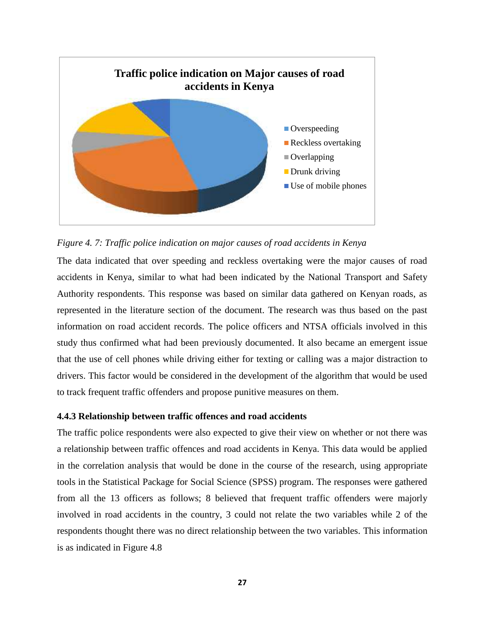

*Figure 4. 7: Traffic police indication on major causes of road accidents in Kenya*

The data indicated that over speeding and reckless overtaking were the major causes of road accidents in Kenya, similar to what had been indicated by the National Transport and Safety Authority respondents. This response was based on similar data gathered on Kenyan roads, as represented in the literature section of the document. The research was thus based on the past information on road accident records. The police officers and NTSA officials involved in this study thus confirmed what had been previously documented. It also became an emergent issue that the use of cell phones while driving either for texting or calling was a major distraction to drivers. This factor would be considered in the development of the algorithm that would be used to track frequent traffic offenders and propose punitive measures on them.

#### **4.4.3 Relationship between traffic offences and road accidents**

The traffic police respondents were also expected to give their view on whether or not there was a relationship between traffic offences and road accidents in Kenya. This data would be applied in the correlation analysis that would be done in the course of the research, using appropriate tools in the Statistical Package for Social Science (SPSS) program. The responses were gathered from all the 13 officers as follows; 8 believed that frequent traffic offenders were majorly involved in road accidents in the country, 3 could not relate the two variables while 2 of the respondents thought there was no direct relationship between the two variables. This information is as indicated in Figure 4.8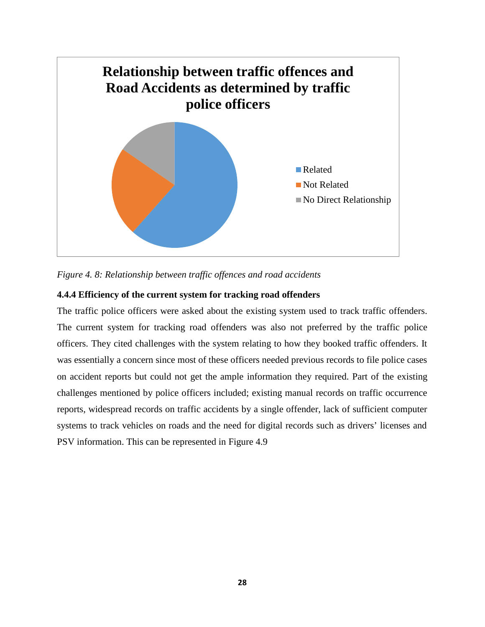

*Figure 4. 8: Relationship between traffic offences and road accidents*

## **4.4.4 Efficiency of the current system for tracking road offenders**

The traffic police officers were asked about the existing system used to track traffic offenders. The current system for tracking road offenders was also not preferred by the traffic police officers. They cited challenges with the system relating to how they booked traffic offenders. It was essentially a concern since most of these officers needed previous records to file police cases on accident reports but could not get the ample information they required. Part of the existing challenges mentioned by police officers included; existing manual records on traffic occurrence reports, widespread records on traffic accidents by a single offender, lack of sufficient computer systems to track vehicles on roads and the need for digital records such as drivers' licenses and PSV information. This can be represented in Figure 4.9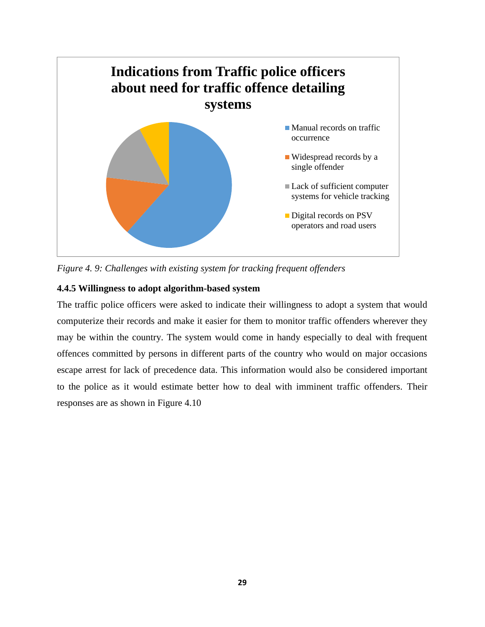

*Figure 4. 9: Challenges with existing system for tracking frequent offenders*

## **4.4.5 Willingness to adopt algorithm-based system**

The traffic police officers were asked to indicate their willingness to adopt a system that would computerize their records and make it easier for them to monitor traffic offenders wherever they may be within the country. The system would come in handy especially to deal with frequent offences committed by persons in different parts of the country who would on major occasions escape arrest for lack of precedence data. This information would also be considered important to the police as it would estimate better how to deal with imminent traffic offenders. Their responses are as shown in Figure 4.10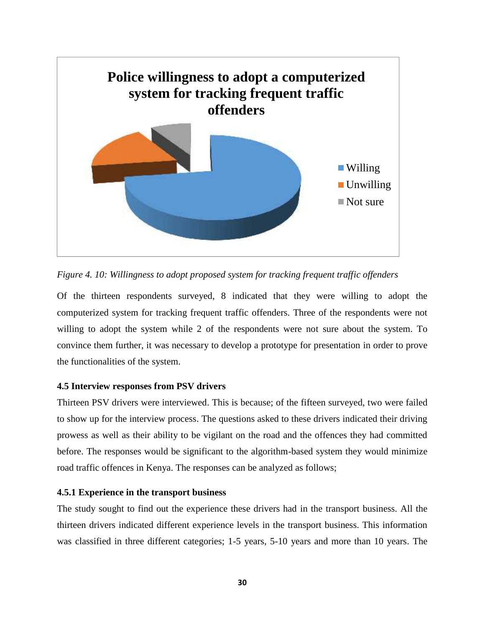

*Figure 4. 10: Willingness to adopt proposed system for tracking frequent traffic offenders*

Of the thirteen respondents surveyed, 8 indicated that they were willing to adopt the computerized system for tracking frequent traffic offenders. Three of the respondents were not willing to adopt the system while 2 of the respondents were not sure about the system. To convince them further, it was necessary to develop a prototype for presentation in order to prove the functionalities of the system.

## **4.5 Interview responses from PSV drivers**

Thirteen PSV drivers were interviewed. This is because; of the fifteen surveyed, two were failed to show up for the interview process. The questions asked to these drivers indicated their driving prowess as well as their ability to be vigilant on the road and the offences they had committed before. The responses would be significant to the algorithm-based system they would minimize road traffic offences in Kenya. The responses can be analyzed as follows;

#### **4.5.1 Experience in the transport business**

The study sought to find out the experience these drivers had in the transport business. All the thirteen drivers indicated different experience levels in the transport business. This information was classified in three different categories; 1-5 years, 5-10 years and more than 10 years. The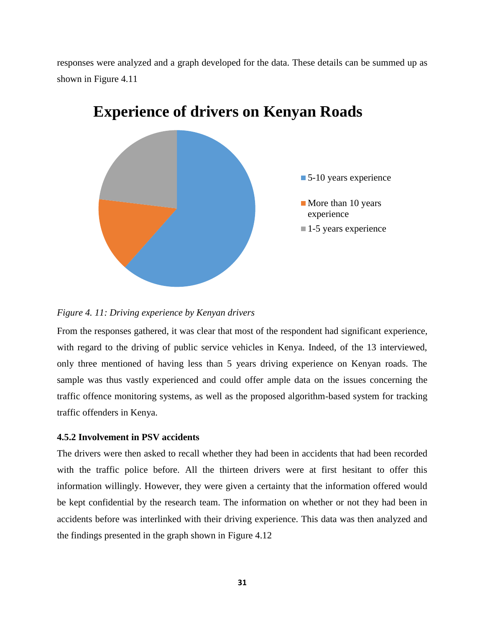responses were analyzed and a graph developed for the data. These details can be summed up as shown in Figure 4.11



# **Experience of drivers on Kenyan Roads**



From the responses gathered, it was clear that most of the respondent had significant experience, with regard to the driving of public service vehicles in Kenya. Indeed, of the 13 interviewed, only three mentioned of having less than 5 years driving experience on Kenyan roads. The sample was thus vastly experienced and could offer ample data on the issues concerning the traffic offence monitoring systems, as well as the proposed algorithm-based system for tracking traffic offenders in Kenya.

#### **4.5.2 Involvement in PSV accidents**

The drivers were then asked to recall whether they had been in accidents that had been recorded with the traffic police before. All the thirteen drivers were at first hesitant to offer this information willingly. However, they were given a certainty that the information offered would be kept confidential by the research team. The information on whether or not they had been in accidents before was interlinked with their driving experience. This data was then analyzed and the findings presented in the graph shown in Figure 4.12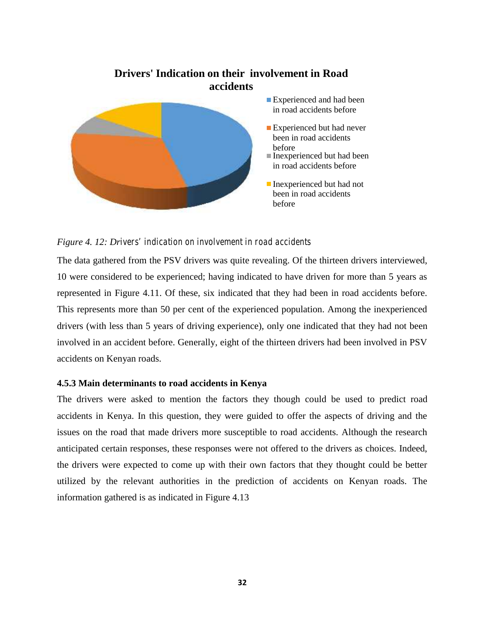## **Drivers' Indication on their involvement in Road accidents**



*Figure 4. 12: Drivers' indication on involvement in road accidents*

The data gathered from the PSV drivers was quite revealing. Of the thirteen drivers interviewed, 10 were considered to be experienced; having indicated to have driven for more than 5 years as represented in Figure 4.11. Of these, six indicated that they had been in road accidents before. This represents more than 50 per cent of the experienced population. Among the inexperienced drivers (with less than 5 years of driving experience), only one indicated that they had not been involved in an accident before. Generally, eight of the thirteen drivers had been involved in PSV accidents on Kenyan roads.

#### **4.5.3 Main determinants to road accidents in Kenya**

The drivers were asked to mention the factors they though could be used to predict road accidents in Kenya. In this question, they were guided to offer the aspects of driving and the issues on the road that made drivers more susceptible to road accidents. Although the research anticipated certain responses, these responses were not offered to the drivers as choices. Indeed, the drivers were expected to come up with their own factors that they thought could be better utilized by the relevant authorities in the prediction of accidents on Kenyan roads. The information gathered is as indicated in Figure 4.13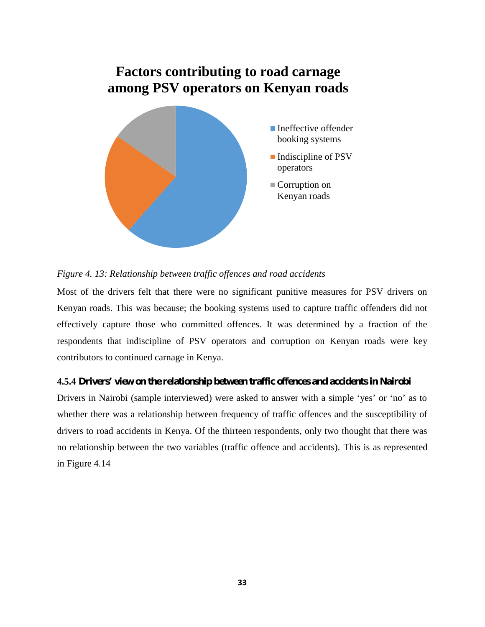# **Factors contributing to road carnage among PSV operators on Kenyan roads**



## *Figure 4. 13: Relationship between traffic offences and road accidents*

Most of the drivers felt that there were no significant punitive measures for PSV drivers on Kenyan roads. This was because; the booking systems used to capture traffic offenders did not effectively capture those who committed offences. It was determined by a fraction of the respondents that indiscipline of PSV operators and corruption on Kenyan roads were key contributors to continued carnage in Kenya.

#### **4.5.4 Drivers' view on the relationship between traffic offences and accidents in Nairobi**

Drivers in Nairobi (sample interviewed) were asked to answer with a simple 'yes' or 'no' as to whether there was a relationship between frequency of traffic offences and the susceptibility of drivers to road accidents in Kenya. Of the thirteen respondents, only two thought that there was no relationship between the two variables (traffic offence and accidents). This is as represented in Figure 4.14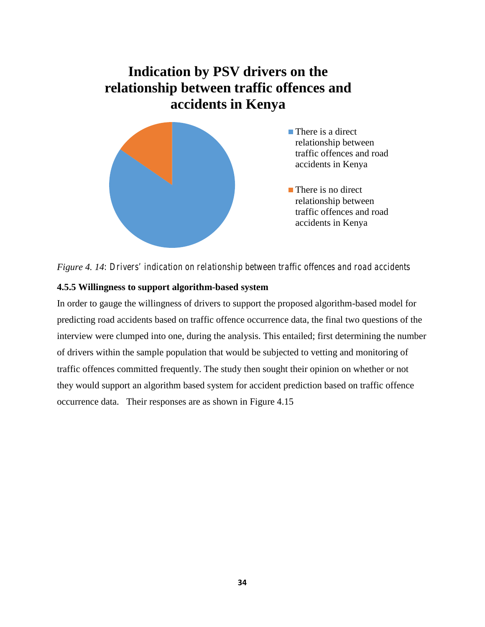# **Indication by PSV drivers on the relationship between traffic offences and accidents in Kenya**



*Figure 4. 14: Drivers' indication on relationship between traffic offences and road accidents*

#### **4.5.5 Willingness to support algorithm-based system**

In order to gauge the willingness of drivers to support the proposed algorithm-based model for predicting road accidents based on traffic offence occurrence data, the final two questions of the interview were clumped into one, during the analysis. This entailed; first determining the number of drivers within the sample population that would be subjected to vetting and monitoring of traffic offences committed frequently. The study then sought their opinion on whether or not they would support an algorithm based system for accident prediction based on traffic offence occurrence data. Their responses are as shown in Figure 4.15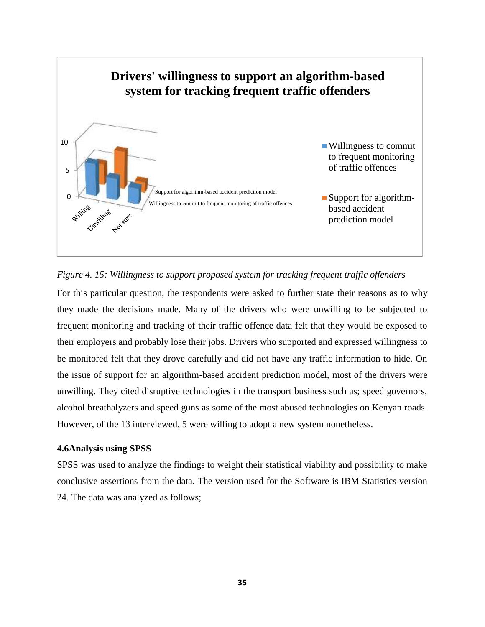

#### *Figure 4. 15: Willingness to support proposed system for tracking frequent traffic offenders*

For this particular question, the respondents were asked to further state their reasons as to why they made the decisions made. Many of the drivers who were unwilling to be subjected to frequent monitoring and tracking of their traffic offence data felt that they would be exposed to their employers and probably lose their jobs. Drivers who supported and expressed willingness to be monitored felt that they drove carefully and did not have any traffic information to hide. On the issue of support for an algorithm-based accident prediction model, most of the drivers were unwilling. They cited disruptive technologies in the transport business such as; speed governors, alcohol breathalyzers and speed guns as some of the most abused technologies on Kenyan roads. However, of the 13 interviewed, 5 were willing to adopt a new system nonetheless.

#### **4.6Analysis using SPSS**

SPSS was used to analyze the findings to weight their statistical viability and possibility to make conclusive assertions from the data. The version used for the Software is IBM Statistics version 24. The data was analyzed as follows;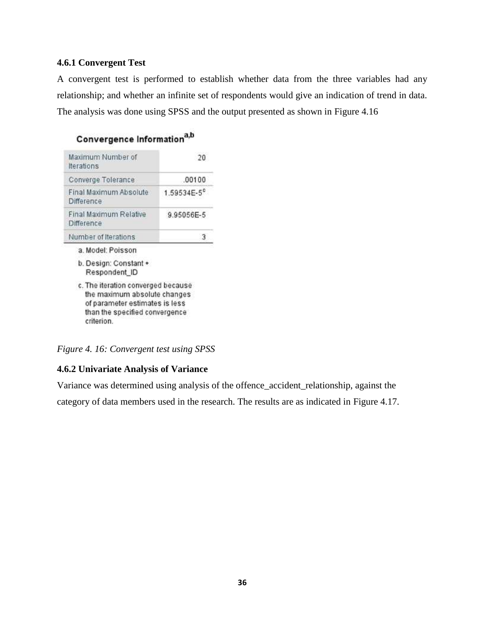## **4.6.1 Convergent Test**

A convergent test is performed to establish whether data from the three variables had any relationship; and whether an infinite set of respondents would give an indication of trend in data. The analysis was done using SPSS and the output presented as shown in Figure 4.16

| Convergence Information <sup>a,b</sup> |  |
|----------------------------------------|--|
|----------------------------------------|--|

| Maximum Number of<br>Iterations             | 20          |
|---------------------------------------------|-------------|
| Converge Tolerance                          | 00100       |
| Final Maximum Absolute<br><b>Difference</b> | 1.59534E-5° |
| Final Maximum Relative<br>Difference        | 9.95056E-5  |
| Number of Iterations                        | 3           |
| a. Model: Poisson                           |             |
| b. Design: Constant +<br>Respondent_ID      |             |

c. The iteration converged because the maximum absolute changes of parameter estimates is less than the specified convergence criterion.

*Figure 4. 16: Convergent test using SPSS*

## **4.6.2 Univariate Analysis of Variance**

Variance was determined using analysis of the offence\_accident\_relationship, against the category of data members used in the research. The results are as indicated in Figure 4.17.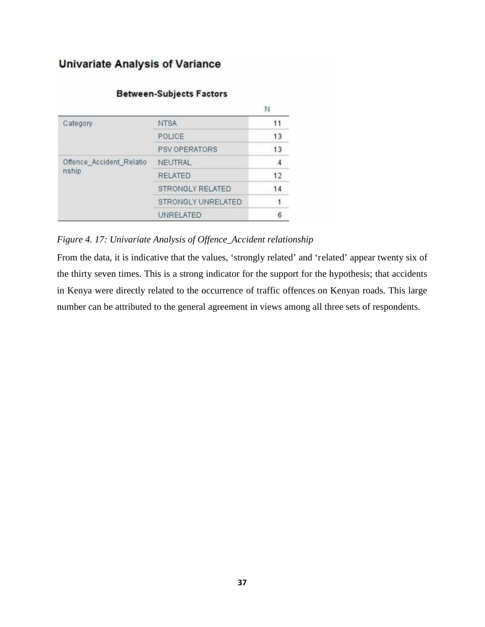## **Univariate Analysis of Variance**

|                                   |                         | N             |
|-----------------------------------|-------------------------|---------------|
| Category                          | <b>NTSA</b>             | 11            |
|                                   | POLICE                  | 13            |
|                                   | <b>PSV OPERATORS</b>    | 13            |
| Offence_Accident_Relatio<br>nship | NEUTRAL                 | $\frac{4}{3}$ |
|                                   | <b>RELATED</b>          | 12            |
|                                   | <b>STRONGLY RELATED</b> | 14            |
|                                   | STRONGLY UNRELATED      |               |
|                                   | <b>UNRELATED</b>        | 6             |

## **Between-Subjects Factors**

## *Figure 4. 17: Univariate Analysis of Offence\_Accident relationship*

From the data, it is indicative that the values, 'strongly related' and 'related' appear twenty six of the thirty seven times. This is a strong indicator for the support for the hypothesis; that accidents in Kenya were directly related to the occurrence of traffic offences on Kenyan roads. This large number can be attributed to the general agreement in views among all three sets of respondents.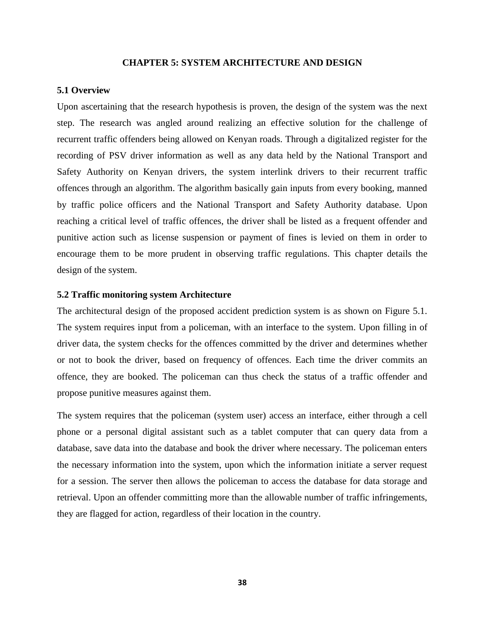#### **CHAPTER 5: SYSTEM ARCHITECTURE AND DESIGN**

#### **5.1 Overview**

Upon ascertaining that the research hypothesis is proven, the design of the system was the next step. The research was angled around realizing an effective solution for the challenge of recurrent traffic offenders being allowed on Kenyan roads. Through a digitalized register for the recording of PSV driver information as well as any data held by the National Transport and Safety Authority on Kenyan drivers, the system interlink drivers to their recurrent traffic offences through an algorithm. The algorithm basically gain inputs from every booking, manned by traffic police officers and the National Transport and Safety Authority database. Upon reaching a critical level of traffic offences, the driver shall be listed as a frequent offender and punitive action such as license suspension or payment of fines is levied on them in order to encourage them to be more prudent in observing traffic regulations. This chapter details the design of the system.

#### **5.2 Traffic monitoring system Architecture**

The architectural design of the proposed accident prediction system is as shown on Figure 5.1. The system requires input from a policeman, with an interface to the system. Upon filling in of driver data, the system checks for the offences committed by the driver and determines whether or not to book the driver, based on frequency of offences. Each time the driver commits an offence, they are booked. The policeman can thus check the status of a traffic offender and propose punitive measures against them.

The system requires that the policeman (system user) access an interface, either through a cell phone or a personal digital assistant such as a tablet computer that can query data from a database, save data into the database and book the driver where necessary. The policeman enters the necessary information into the system, upon which the information initiate a server request for a session. The server then allows the policeman to access the database for data storage and retrieval. Upon an offender committing more than the allowable number of traffic infringements, they are flagged for action, regardless of their location in the country.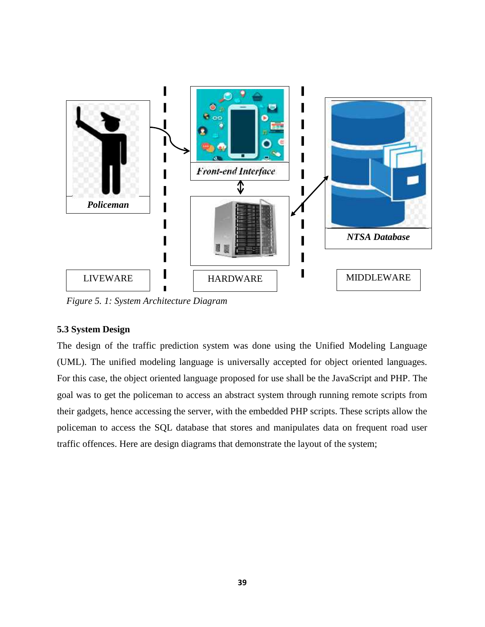

*Figure 5. 1: System Architecture Diagram*

#### **5.3 System Design**

The design of the traffic prediction system was done using the Unified Modeling Language (UML). The unified modeling language is universally accepted for object oriented languages. For this case, the object oriented language proposed for use shall be the JavaScript and PHP. The goal was to get the policeman to access an abstract system through running remote scripts from their gadgets, hence accessing the server, with the embedded PHP scripts. These scripts allow the policeman to access the SQL database that stores and manipulates data on frequent road user traffic offences. Here are design diagrams that demonstrate the layout of the system;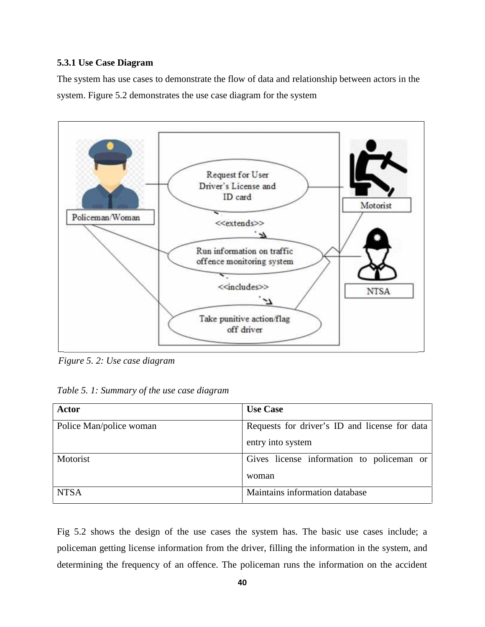## **5.3.1 Use Case Diagram**

The system has use cases to demonstrate the flow of data and relationship between actors in the system. Figure 5.2 demonstrates the use case diagram for the system



*Figure 5. 2: Use case diagram*

| Actor                   | <b>Use Case</b>                               |
|-------------------------|-----------------------------------------------|
| Police Man/police woman | Requests for driver's ID and license for data |
|                         | entry into system                             |
| Motorist                | Gives license information to policeman or     |
|                         | woman                                         |
| <b>NTSA</b>             | Maintains information database                |

Fig 5.2 shows the design of the use cases the system has. The basic use cases include; a policeman getting license information from the driver, filling the information in the system, and determining the frequency of an offence. The policeman runs the information on the accident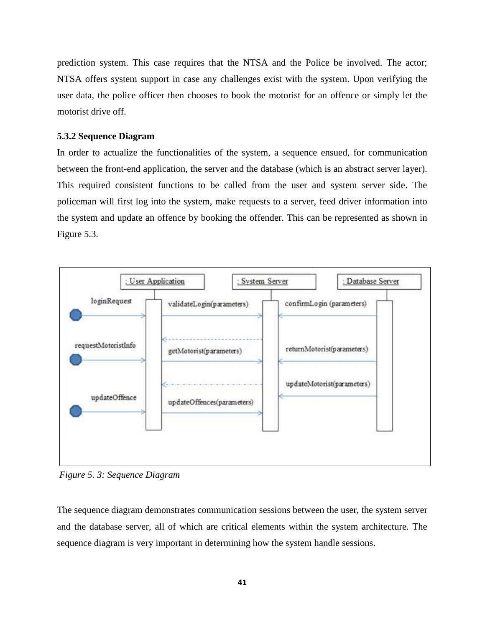prediction system. This case requires that the NTSA and the Police be involved. The actor; NTSA offers system support in case any challenges exist with the system. Upon verifying the user data, the police officer then chooses to book the motorist for an offence or simply let the motorist drive off.

#### **5.3.2 Sequence Diagram**

In order to actualize the functionalities of the system, a sequence ensued, for communication between the front-end application, the server and the database (which is an abstract server layer). This required consistent functions to be called from the user and system server side. The policeman will first log into the system, make requests to a server, feed driver information into the system and update an offence by booking the offender. This can be represented as shown in Figure 5.3.



*Figure 5. 3: Sequence Diagram*

The sequence diagram demonstrates communication sessions between the user, the system server and the database server, all of which are critical elements within the system architecture. The sequence diagram is very important in determining how the system handle sessions.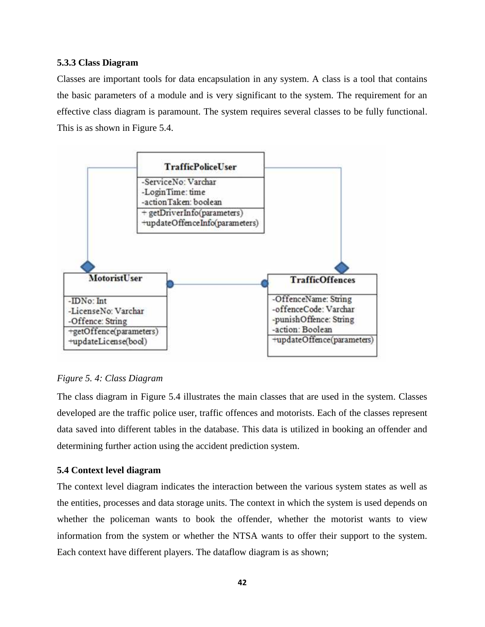## **5.3.3 Class Diagram**

Classes are important tools for data encapsulation in any system. A class is a tool that contains the basic parameters of a module and is very significant to the system. The requirement for an effective class diagram is paramount. The system requires several classes to be fully functional. This is as shown in Figure 5.4.



## *Figure 5. 4: Class Diagram*

The class diagram in Figure 5.4 illustrates the main classes that are used in the system. Classes developed are the traffic police user, traffic offences and motorists. Each of the classes represent data saved into different tables in the database. This data is utilized in booking an offender and determining further action using the accident prediction system.

## **5.4 Context level diagram**

The context level diagram indicates the interaction between the various system states as well as the entities, processes and data storage units. The context in which the system is used depends on whether the policeman wants to book the offender, whether the motorist wants to view information from the system or whether the NTSA wants to offer their support to the system. Each context have different players. The dataflow diagram is as shown;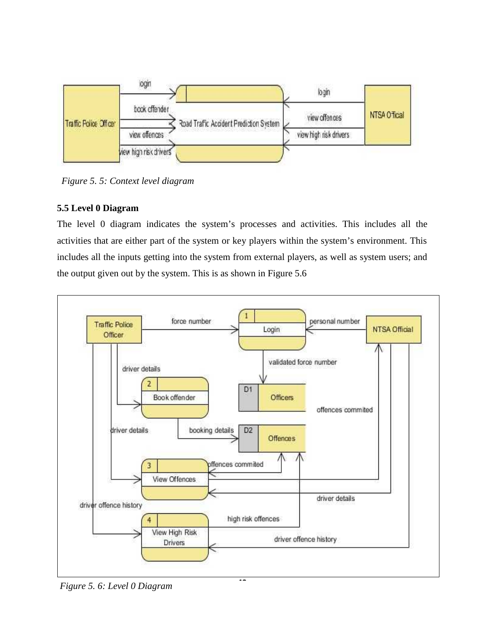

*Figure 5. 5: Context level diagram*

## **5.5 Level 0 Diagram**

The level 0 diagram indicates the system's processes and activities. This includes all the activities that are either part of the system or key players within the system's environment. This includes all the inputs getting into the system from external players, as well as system users; and the output given out by the system. This is as shown in Figure 5.6



*Figure 5. 6: Level 0 Diagram*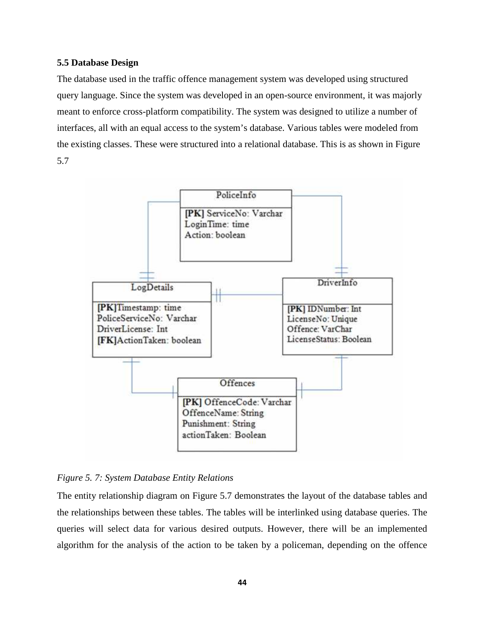#### **5.5 Database Design**

The database used in the traffic offence management system was developed using structured query language. Since the system was developed in an open-source environment, it was majorly meant to enforce cross-platform compatibility. The system was designed to utilize a number of interfaces, all with an equal access to the system's database. Various tables were modeled from the existing classes. These were structured into a relational database. This is as shown in Figure 5.7

# PoliceInfo [PK] ServiceNo: Varchar LoginTime: time Action: boolean DriverInfo LogDetails [PK]Timestamp: time [PK] IDNumber: Int PoliceServiceNo: Varchar LicenseNo: Unique DriverLicense: Int Offence: VarChar LicenseStatus: Boolean [FK]ActionTaken: boolean Offences [PK] OffenceCode: Varchar OffenceName: String Punishment: String actionTaken: Boolean

#### *Figure 5. 7: System Database Entity Relations*

The entity relationship diagram on Figure 5.7 demonstrates the layout of the database tables and the relationships between these tables. The tables will be interlinked using database queries. The queries will select data for various desired outputs. However, there will be an implemented algorithm for the analysis of the action to be taken by a policeman, depending on the offence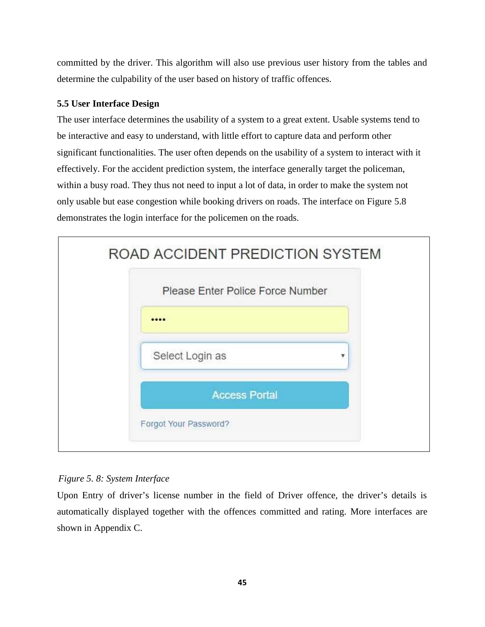committed by the driver. This algorithm will also use previous user history from the tables and determine the culpability of the user based on history of traffic offences.

## **5.5 User Interface Design**

The user interface determines the usability of a system to a great extent. Usable systems tend to be interactive and easy to understand, with little effort to capture data and perform other significant functionalities. The user often depends on the usability of a system to interact with it effectively. For the accident prediction system, the interface generally target the policeman, within a busy road. They thus not need to input a lot of data, in order to make the system not only usable but ease congestion while booking drivers on roads. The interface on Figure 5.8 demonstrates the login interface for the policemen on the roads.



## *Figure 5. 8: System Interface*

Upon Entry of driver's license number in the field of Driver offence, the driver's details is automatically displayed together with the offences committed and rating. More interfaces are shown in Appendix C.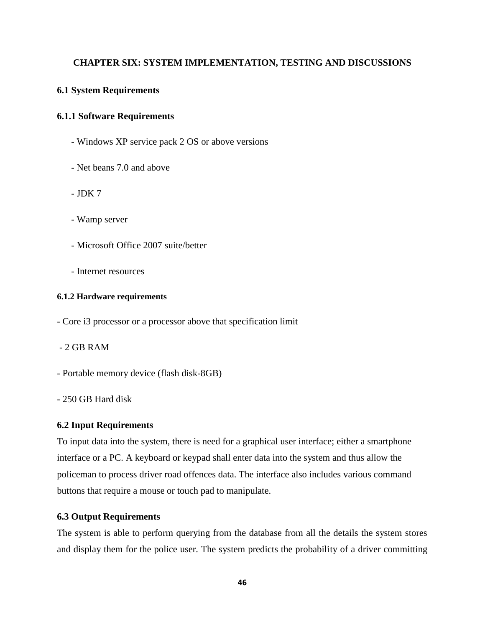## **CHAPTER SIX: SYSTEM IMPLEMENTATION, TESTING AND DISCUSSIONS**

#### **6.1 System Requirements**

#### **6.1.1 Software Requirements**

- Windows XP service pack 2 OS or above versions
- Net beans 7.0 and above
- JDK 7
- Wamp server
- Microsoft Office 2007 suite/better
- Internet resources

#### **6.1.2 Hardware requirements**

- Core i3 processor or a processor above that specification limit

- 2 GB RAM
- Portable memory device (flash disk-8GB)
- 250 GB Hard disk

#### **6.2 Input Requirements**

To input data into the system, there is need for a graphical user interface; either a smartphone interface or a PC. A keyboard or keypad shall enter data into the system and thus allow the policeman to process driver road offences data. The interface also includes various command buttons that require a mouse or touch pad to manipulate.

#### **6.3 Output Requirements**

The system is able to perform querying from the database from all the details the system stores and display them for the police user. The system predicts the probability of a driver committing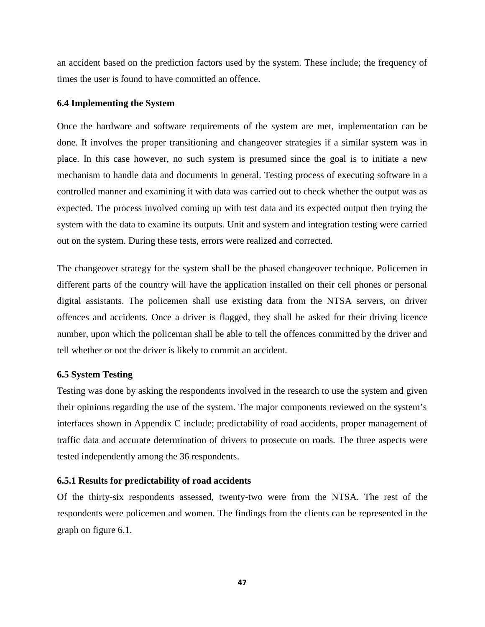an accident based on the prediction factors used by the system. These include; the frequency of times the user is found to have committed an offence.

## **6.4 Implementing the System**

Once the hardware and software requirements of the system are met, implementation can be done. It involves the proper transitioning and changeover strategies if a similar system was in place. In this case however, no such system is presumed since the goal is to initiate a new mechanism to handle data and documents in general. Testing process of executing software in a controlled manner and examining it with data was carried out to check whether the output was as expected. The process involved coming up with test data and its expected output then trying the system with the data to examine its outputs. Unit and system and integration testing were carried out on the system. During these tests, errors were realized and corrected.

The changeover strategy for the system shall be the phased changeover technique. Policemen in different parts of the country will have the application installed on their cell phones or personal digital assistants. The policemen shall use existing data from the NTSA servers, on driver offences and accidents. Once a driver is flagged, they shall be asked for their driving licence number, upon which the policeman shall be able to tell the offences committed by the driver and tell whether or not the driver is likely to commit an accident.

## **6.5 System Testing**

Testing was done by asking the respondents involved in the research to use the system and given their opinions regarding the use of the system. The major components reviewed on the system's interfaces shown in Appendix C include; predictability of road accidents, proper management of traffic data and accurate determination of drivers to prosecute on roads. The three aspects were tested independently among the 36 respondents.

## **6.5.1 Results for predictability of road accidents**

Of the thirty-six respondents assessed, twenty-two were from the NTSA. The rest of the respondents were policemen and women. The findings from the clients can be represented in the graph on figure 6.1.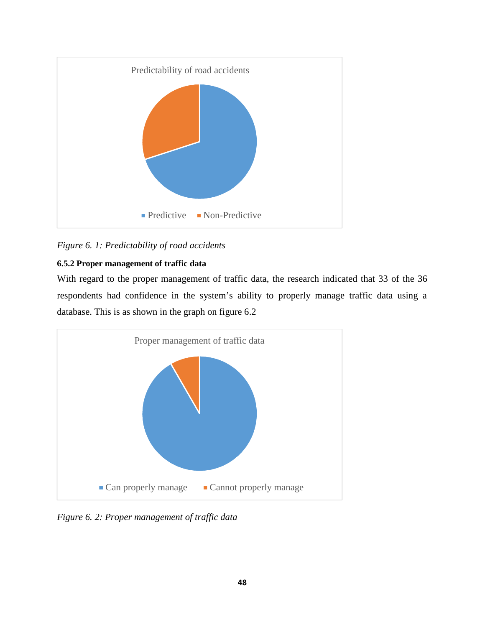

*Figure 6. 1: Predictability of road accidents*

## **6.5.2 Proper management of traffic data**

With regard to the proper management of traffic data, the research indicated that 33 of the 36 respondents had confidence in the system's ability to properly manage traffic data using a database. This is as shown in the graph on figure 6.2



*Figure 6. 2: Proper management of traffic data*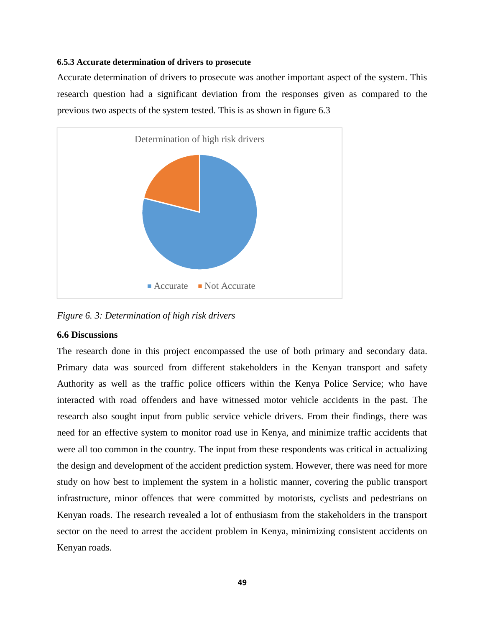#### **6.5.3 Accurate determination of drivers to prosecute**

Accurate determination of drivers to prosecute was another important aspect of the system. This research question had a significant deviation from the responses given as compared to the previous two aspects of the system tested. This is as shown in figure 6.3



*Figure 6. 3: Determination of high risk drivers*

#### **6.6 Discussions**

The research done in this project encompassed the use of both primary and secondary data. Primary data was sourced from different stakeholders in the Kenyan transport and safety Authority as well as the traffic police officers within the Kenya Police Service; who have interacted with road offenders and have witnessed motor vehicle accidents in the past. The research also sought input from public service vehicle drivers. From their findings, there was need for an effective system to monitor road use in Kenya, and minimize traffic accidents that were all too common in the country. The input from these respondents was critical in actualizing the design and development of the accident prediction system. However, there was need for more study on how best to implement the system in a holistic manner, covering the public transport infrastructure, minor offences that were committed by motorists, cyclists and pedestrians on Kenyan roads. The research revealed a lot of enthusiasm from the stakeholders in the transport sector on the need to arrest the accident problem in Kenya, minimizing consistent accidents on Kenyan roads.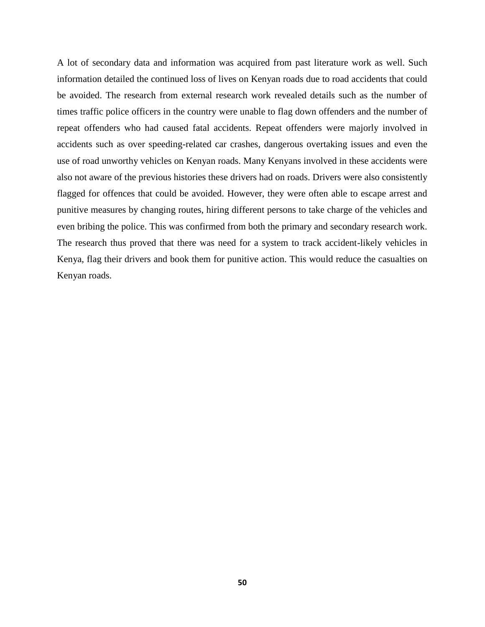A lot of secondary data and information was acquired from past literature work as well. Such information detailed the continued loss of lives on Kenyan roads due to road accidents that could be avoided. The research from external research work revealed details such as the number of times traffic police officers in the country were unable to flag down offenders and the number of repeat offenders who had caused fatal accidents. Repeat offenders were majorly involved in accidents such as over speeding-related car crashes, dangerous overtaking issues and even the use of road unworthy vehicles on Kenyan roads. Many Kenyans involved in these accidents were also not aware of the previous histories these drivers had on roads. Drivers were also consistently flagged for offences that could be avoided. However, they were often able to escape arrest and punitive measures by changing routes, hiring different persons to take charge of the vehicles and even bribing the police. This was confirmed from both the primary and secondary research work. The research thus proved that there was need for a system to track accident-likely vehicles in Kenya, flag their drivers and book them for punitive action. This would reduce the casualties on Kenyan roads.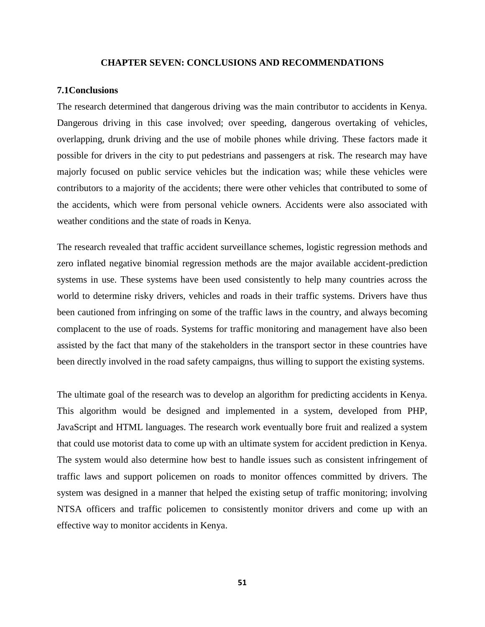#### **CHAPTER SEVEN: CONCLUSIONS AND RECOMMENDATIONS**

#### **7.1Conclusions**

The research determined that dangerous driving was the main contributor to accidents in Kenya. Dangerous driving in this case involved; over speeding, dangerous overtaking of vehicles, overlapping, drunk driving and the use of mobile phones while driving. These factors made it possible for drivers in the city to put pedestrians and passengers at risk. The research may have majorly focused on public service vehicles but the indication was; while these vehicles were contributors to a majority of the accidents; there were other vehicles that contributed to some of the accidents, which were from personal vehicle owners. Accidents were also associated with weather conditions and the state of roads in Kenya.

The research revealed that traffic accident surveillance schemes, logistic regression methods and zero inflated negative binomial regression methods are the major available accident-prediction systems in use. These systems have been used consistently to help many countries across the world to determine risky drivers, vehicles and roads in their traffic systems. Drivers have thus been cautioned from infringing on some of the traffic laws in the country, and always becoming complacent to the use of roads. Systems for traffic monitoring and management have also been assisted by the fact that many of the stakeholders in the transport sector in these countries have been directly involved in the road safety campaigns, thus willing to support the existing systems.

The ultimate goal of the research was to develop an algorithm for predicting accidents in Kenya. This algorithm would be designed and implemented in a system, developed from PHP, JavaScript and HTML languages. The research work eventually bore fruit and realized a system that could use motorist data to come up with an ultimate system for accident prediction in Kenya. The system would also determine how best to handle issues such as consistent infringement of traffic laws and support policemen on roads to monitor offences committed by drivers. The system was designed in a manner that helped the existing setup of traffic monitoring; involving NTSA officers and traffic policemen to consistently monitor drivers and come up with an effective way to monitor accidents in Kenya.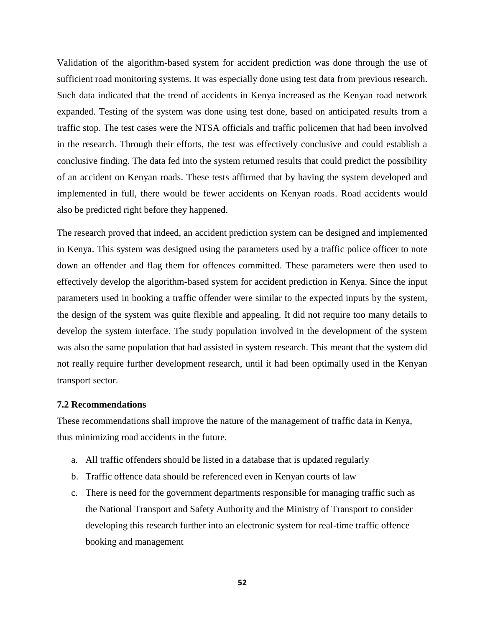Validation of the algorithm-based system for accident prediction was done through the use of sufficient road monitoring systems. It was especially done using test data from previous research. Such data indicated that the trend of accidents in Kenya increased as the Kenyan road network expanded. Testing of the system was done using test done, based on anticipated results from a traffic stop. The test cases were the NTSA officials and traffic policemen that had been involved in the research. Through their efforts, the test was effectively conclusive and could establish a conclusive finding. The data fed into the system returned results that could predict the possibility of an accident on Kenyan roads. These tests affirmed that by having the system developed and implemented in full, there would be fewer accidents on Kenyan roads. Road accidents would also be predicted right before they happened.

The research proved that indeed, an accident prediction system can be designed and implemented in Kenya. This system was designed using the parameters used by a traffic police officer to note down an offender and flag them for offences committed. These parameters were then used to effectively develop the algorithm-based system for accident prediction in Kenya. Since the input parameters used in booking a traffic offender were similar to the expected inputs by the system, the design of the system was quite flexible and appealing. It did not require too many details to develop the system interface. The study population involved in the development of the system was also the same population that had assisted in system research. This meant that the system did not really require further development research, until it had been optimally used in the Kenyan transport sector.

#### **7.2 Recommendations**

These recommendations shall improve the nature of the management of traffic data in Kenya, thus minimizing road accidents in the future.

- a. All traffic offenders should be listed in a database that is updated regularly
- b. Traffic offence data should be referenced even in Kenyan courts of law
- c. There is need for the government departments responsible for managing traffic such as the National Transport and Safety Authority and the Ministry of Transport to consider developing this research further into an electronic system for real-time traffic offence booking and management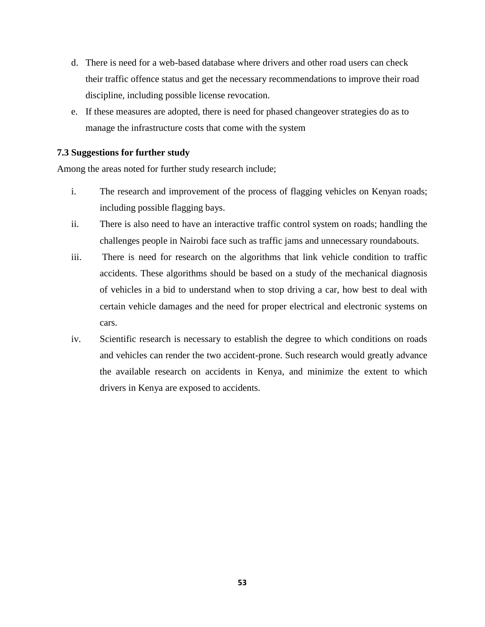- d. There is need for a web-based database where drivers and other road users can check their traffic offence status and get the necessary recommendations to improve their road discipline, including possible license revocation.
- e. If these measures are adopted, there is need for phased changeover strategies do as to manage the infrastructure costs that come with the system

### **7.3 Suggestions for further study**

Among the areas noted for further study research include;

- i. The research and improvement of the process of flagging vehicles on Kenyan roads; including possible flagging bays.
- ii. There is also need to have an interactive traffic control system on roads; handling the challenges people in Nairobi face such as traffic jams and unnecessary roundabouts.
- iii. There is need for research on the algorithms that link vehicle condition to traffic accidents. These algorithms should be based on a study of the mechanical diagnosis of vehicles in a bid to understand when to stop driving a car, how best to deal with certain vehicle damages and the need for proper electrical and electronic systems on cars.
- iv. Scientific research is necessary to establish the degree to which conditions on roads and vehicles can render the two accident-prone. Such research would greatly advance the available research on accidents in Kenya, and minimize the extent to which drivers in Kenya are exposed to accidents.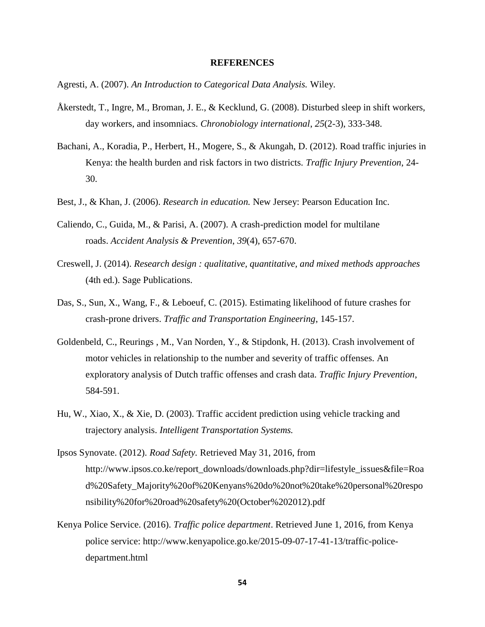#### **REFERENCES**

Agresti, A. (2007). *An Introduction to Categorical Data Analysis.* Wiley.

- Åkerstedt, T., Ingre, M., Broman, J. E., & Kecklund, G. (2008). Disturbed sleep in shift workers, day workers, and insomniacs. *Chronobiology international*, *25*(2-3), 333-348.
- Bachani, A., Koradia, P., Herbert, H., Mogere, S., & Akungah, D. (2012). Road traffic injuries in Kenya: the health burden and risk factors in two districts. *Traffic Injury Prevention*, 24- 30.
- Best, J., & Khan, J. (2006). *Research in education.* New Jersey: Pearson Education Inc.
- Caliendo, C., Guida, M., & Parisi, A. (2007). A crash-prediction model for multilane roads. *Accident Analysis & Prevention*, *39*(4), 657-670.
- Creswell, J. (2014). *Research design : qualitative, quantitative, and mixed methods approaches* (4th ed.). Sage Publications.
- Das, S., Sun, X., Wang, F., & Leboeuf, C. (2015). Estimating likelihood of future crashes for crash-prone drivers. *Traffic and Transportation Engineering*, 145-157.
- Goldenbeld, C., Reurings , M., Van Norden, Y., & Stipdonk, H. (2013). Crash involvement of motor vehicles in relationship to the number and severity of traffic offenses. An exploratory analysis of Dutch traffic offenses and crash data. *Traffic Injury Prevention*, 584-591.
- Hu, W., Xiao, X., & Xie, D. (2003). Traffic accident prediction using vehicle tracking and trajectory analysis. *Intelligent Transportation Systems.*
- Ipsos Synovate. (2012). *Road Safety.* Retrieved May 31, 2016, from http://www.ipsos.co.ke/report\_downloads/downloads.php?dir=lifestyle\_issues&file=Roa d%20Safety\_Majority%20of%20Kenyans%20do%20not%20take%20personal%20respo nsibility%20for%20road%20safety%20(October%202012).pdf
- Kenya Police Service. (2016). *Traffic police department*. Retrieved June 1, 2016, from Kenya police service: http://www.kenyapolice.go.ke/2015-09-07-17-41-13/traffic-police department.html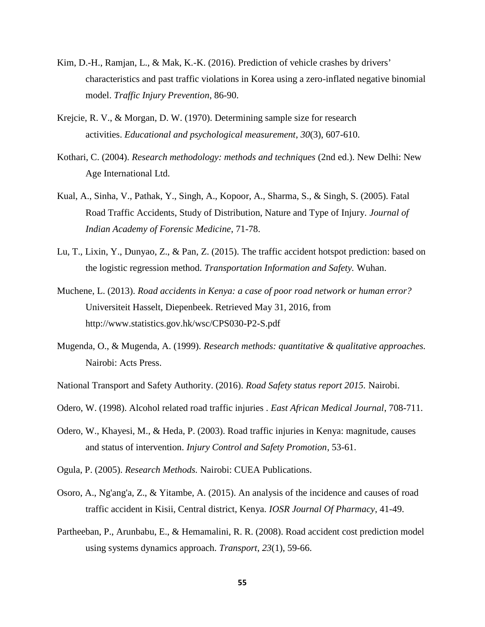- Kim, D.-H., Ramjan, L., & Mak, K.-K. (2016). Prediction of vehicle crashes by drivers' characteristics and past traffic violations in Korea using a zero-inflated negative binomial model. *Traffic Injury Prevention*, 86-90.
- Krejcie, R. V., & Morgan, D. W. (1970). Determining sample size for research activities. *Educational and psychological measurement*, *30*(3), 607-610.
- Kothari, C. (2004). *Research methodology: methods and techniques* (2nd ed.). New Delhi: New Age International Ltd.
- Kual, A., Sinha, V., Pathak, Y., Singh, A., Kopoor, A., Sharma, S., & Singh, S. (2005). Fatal Road Traffic Accidents, Study of Distribution, Nature and Type of Injury. *Journal of Indian Academy of Forensic Medicine*, 71-78.
- Lu, T., Lixin, Y., Dunyao, Z., & Pan, Z. (2015). The traffic accident hotspot prediction: based on the logistic regression method. *Transportation Information and Safety.* Wuhan.
- Muchene, L. (2013). *Road accidents in Kenya: a case of poor road network or human error?* Universiteit Hasselt, Diepenbeek. Retrieved May 31, 2016, from http://www.statistics.gov.hk/wsc/CPS030-P2-S.pdf
- Mugenda, O., & Mugenda, A. (1999). *Research methods: quantitative & qualitative approaches.* Nairobi: Acts Press.
- National Transport and Safety Authority. (2016). *Road Safety status report 2015.* Nairobi.
- Odero, W. (1998). Alcohol related road traffic injuries . *East African Medical Journal*, 708-711.
- Odero, W., Khayesi, M., & Heda, P. (2003). Road traffic injuries in Kenya: magnitude, causes and status of intervention. *Injury Control and Safety Promotion*, 53-61.
- Ogula, P. (2005). *Research Methods.* Nairobi: CUEA Publications.
- Osoro, A., Ng'ang'a, Z., & Yitambe, A. (2015). An analysis of the incidence and causes of road traffic accident in Kisii, Central district, Kenya. *IOSR Journal Of Pharmacy*, 41-49.
- Partheeban, P., Arunbabu, E., & Hemamalini, R. R. (2008). Road accident cost prediction model using systems dynamics approach. *Transport*, *23*(1), 59-66.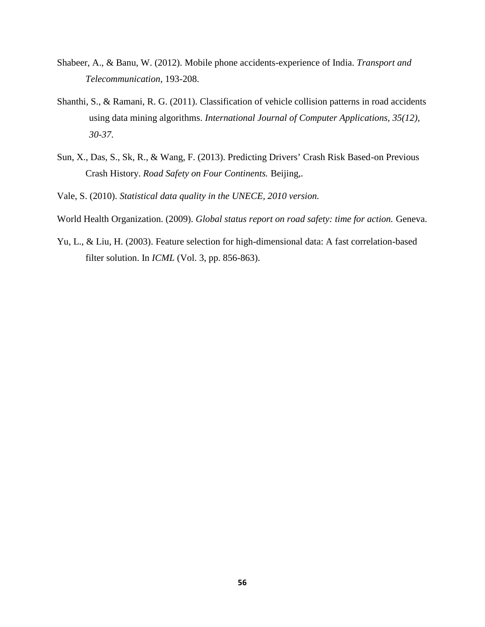- Shabeer, A., & Banu, W. (2012). Mobile phone accidents-experience of India. *Transport and Telecommunication*, 193-208.
- Shanthi, S., & Ramani, R. G. (2011). Classification of vehicle collision patterns in road accidents using data mining algorithms. *International Journal of Computer Applications, 35(12), 30-37*.
- Sun, X., Das, S., Sk, R., & Wang, F. (2013). Predicting Drivers' Crash Risk Based-on Previous Crash History. *Road Safety on Four Continents.* Beijing,.
- Vale, S. (2010). *Statistical data quality in the UNECE, 2010 version.*
- World Health Organization. (2009). *Global status report on road safety: time for action.* Geneva.
- Yu, L., & Liu, H. (2003). Feature selection for high-dimensional data: A fast correlation-based filter solution. In *ICML* (Vol. 3, pp. 856-863).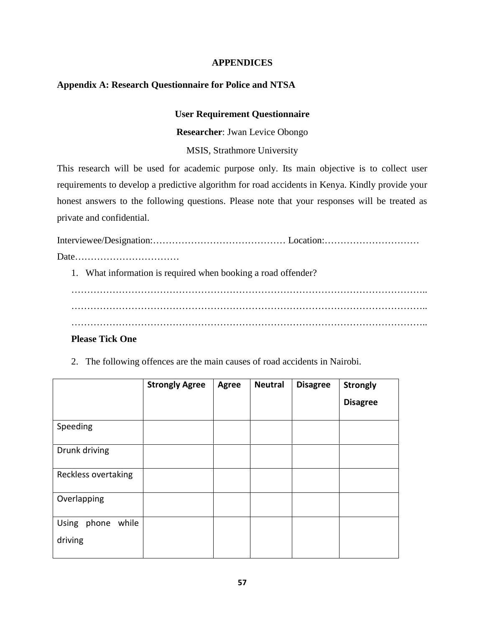#### **APPENDICES**

### **Appendix A: Research Questionnaire for Police and NTSA**

#### **User Requirement Questionnaire**

**Researcher**: Jwan Levice Obongo

MSIS, Strathmore University

This research will be used for academic purpose only. Its main objective is to collect user requirements to develop a predictive algorithm for road accidents in Kenya. Kindly provide your honest answers to the following questions. Please note that your responses will be treated as private and confidential.

Interviewee/Designation:…………………………………… Location:………………………… Date……………………………

1. What information is required when booking a road offender?

………………………………………………………………………………………………….. ………………………………………………………………………………………………….. …………………………………………………………………………………………………..

#### **Please Tick One**

2. The following offences are the main causes of road accidents in Nairobi.

|                                 | <b>Strongly Agree</b> | <b>Agree</b> | <b>Neutral</b> | <b>Disagree</b> | <b>Strongly</b> |
|---------------------------------|-----------------------|--------------|----------------|-----------------|-----------------|
|                                 |                       |              |                |                 | <b>Disagree</b> |
| Speeding                        |                       |              |                |                 |                 |
| Drunk driving                   |                       |              |                |                 |                 |
| Reckless overtaking             |                       |              |                |                 |                 |
| Overlapping                     |                       |              |                |                 |                 |
| phone while<br>Using<br>driving |                       |              |                |                 |                 |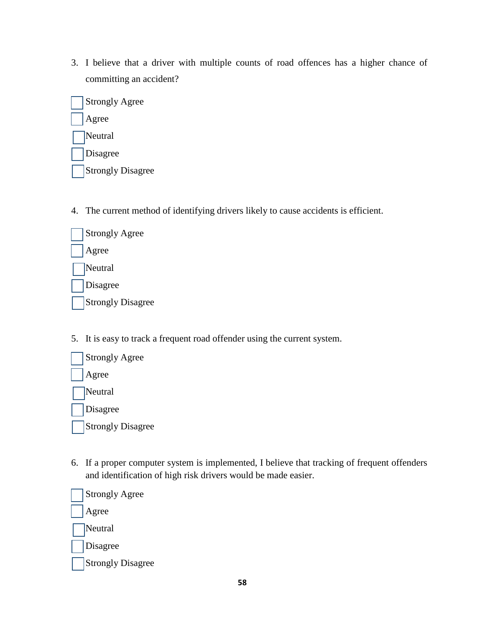3. I believe that a driver with multiple counts of road offences has a higher chance of committing an accident?

| <b>Strongly Agree</b>    |  |
|--------------------------|--|
| Agree                    |  |
| Neutral                  |  |
| Disagree                 |  |
| <b>Strongly Disagree</b> |  |

4. The current method of identifying drivers likely to cause accidents is efficient.



5. It is easy to track a frequent road offender using the current system.

| <b>Strongly Agree</b>    |
|--------------------------|
| Agree                    |
| Neutral                  |
| Disagree                 |
| <b>Strongly Disagree</b> |

6. If a proper computer system is implemented, I believe that tracking of frequent offenders and identification of high risk drivers would be made easier.

Strongly Agree Agree **Neutral** Disagree Strongly Disagree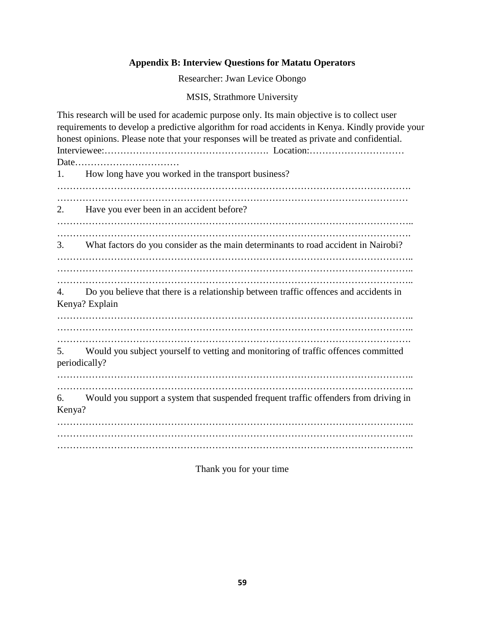#### **Appendix B: Interview Questions for Matatu Operators**

Researcher: Jwan Levice Obongo

MSIS, Strathmore University

This research will be used for academic purpose only. Its main objective is to collect user requirements to develop a predictive algorithm for road accidents in Kenya. Kindly provide your honest opinions. Please note that your responses will be treated as private and confidential. Interviewee:……………………………………………. Location:………………………… Date…………………………… 1. How long have you worked in the transport business? …………………………………………………………………………………………………. ………………………………………………………………………………………………… 2. Have you ever been in an accident before? ………………………………………………………………………………………………….. …………………………………………………………………………………………………. 3. What factors do you consider as the main determinants to road accident in Nairobi? ………………………………………………………………………………………………….. ………………………………………………………………………………………………….. ………………………………………………………………………………………………….. 4. Do you believe that there is a relationship between traffic offences and accidents in Kenya? Explain ………………………………………………………………………………………………….. …………………………………………………………………………………………………. 5. Would you subject yourself to vetting and monitoring of traffic offences committed periodically? ………………………………………………………………………………………………….. ………………………………………………………………………………………………….. 6. Would you support a system that suspended frequent traffic offenders from driving in Kenya? ………………………………………………………………………………………………….. ………………………………………………………………………………………………….. …………………………………………………………………………………………………..

Thank you for your time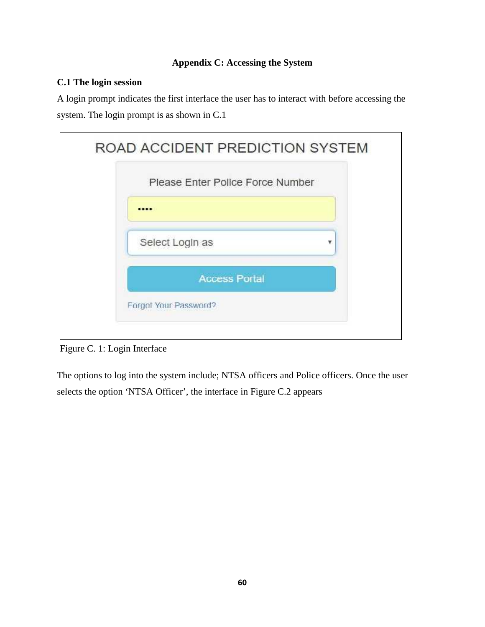# **Appendix C: Accessing the System**

# **C.1 The login session**

A login prompt indicates the first interface the user has to interact with before accessing the system. The login prompt is as shown in C.1



Figure C. 1: Login Interface

The options to log into the system include; NTSA officers and Police officers. Once the user selects the option 'NTSA Officer', the interface in Figure C.2 appears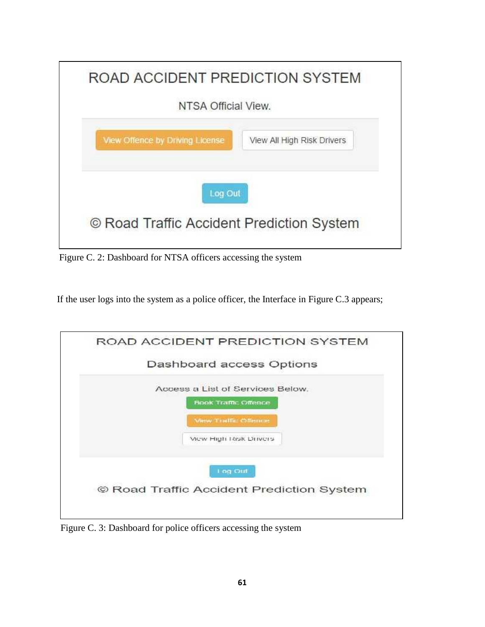| ROAD ACCIDENT PREDICTION SYSTEM           |                            |
|-------------------------------------------|----------------------------|
| NTSA Official View.                       |                            |
| View Offence by Driving License           | View All High Risk Drivers |
| Log Out                                   |                            |
| © Road Traffic Accident Prediction System |                            |
|                                           |                            |

Figure C. 2: Dashboard for NTSA officers accessing the system

If the user logs into the system as a police officer, the Interface in Figure C.3 appears;

| Access a List of Services Below. |
|----------------------------------|
| <b>Book Traffic Offence</b>      |
| <b>West Traffic Offence</b>      |
| View High Risk Drivers           |
| I og Out                         |

Figure C. 3: Dashboard for police officers accessing the system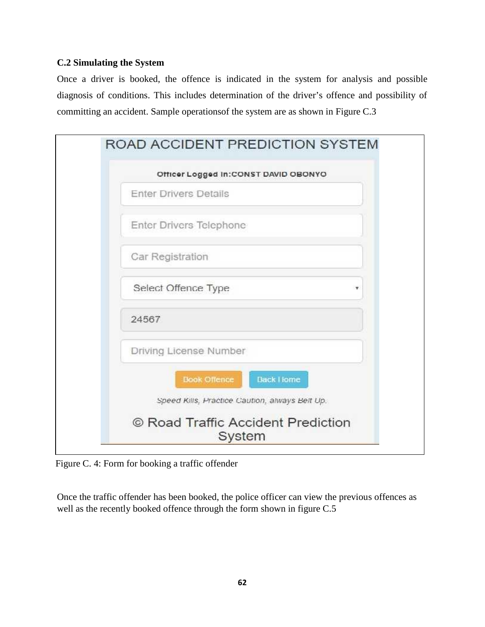### **C.2 Simulating the System**

Once a driver is booked, the offence is indicated in the system for analysis and possible diagnosis of conditions. This includes determination of the driver's offence and possibility of committing an accident. Sample operationsof the system are as shown in Figure C.3

|                              | Officer Logged In:CONST DAVID OBONYO                                                        |   |
|------------------------------|---------------------------------------------------------------------------------------------|---|
| <b>Enter Drivers Details</b> |                                                                                             |   |
| Enter Drivers Telephone      |                                                                                             |   |
| Car Registration             |                                                                                             |   |
| Select Offence Type          |                                                                                             | ۷ |
| 24567                        |                                                                                             |   |
| Driving License Number       |                                                                                             |   |
|                              | <b>Dack I lome</b><br><b>Book Offence</b><br>Speed Kills, Practice Caution, always Belt Up. |   |
|                              | © Road Traffic Accident Prediction<br>System                                                |   |

Figure C. 4: Form for booking a traffic offender

Once the traffic offender has been booked, the police officer can view the previous offences as well as the recently booked offence through the form shown in figure C.5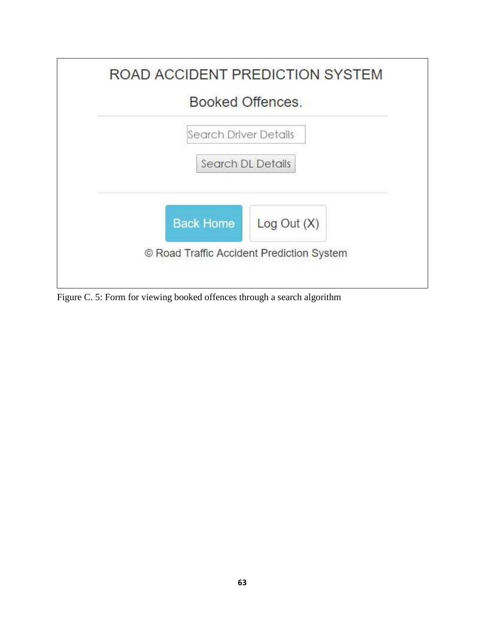

Figure C. 5: Form for viewing booked offences through a search algorithm